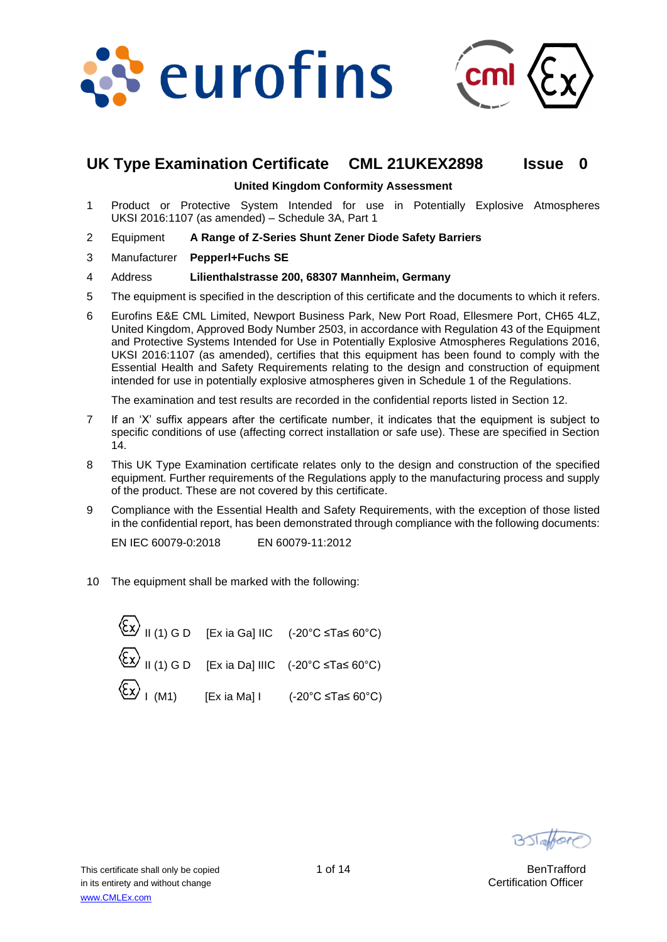



# **UK Type Examination Certificate CML 21UKEX2898 Issue 0**

**United Kingdom Conformity Assessment**

- 1 Product or Protective System Intended for use in Potentially Explosive Atmospheres UKSI 2016:1107 (as amended) – Schedule 3A, Part 1
- 2 Equipment **A Range of Z-Series Shunt Zener Diode Safety Barriers**
- 3 Manufacturer **Pepperl+Fuchs SE**
- 4 Address **Lilienthalstrasse 200, 68307 Mannheim, Germany**
- 5 The equipment is specified in the description of this certificate and the documents to which it refers.
- 6 Eurofins E&E CML Limited, Newport Business Park, New Port Road, Ellesmere Port, CH65 4LZ, United Kingdom, Approved Body Number 2503, in accordance with Regulation 43 of the Equipment and Protective Systems Intended for Use in Potentially Explosive Atmospheres Regulations 2016, UKSI 2016:1107 (as amended), certifies that this equipment has been found to comply with the Essential Health and Safety Requirements relating to the design and construction of equipment intended for use in potentially explosive atmospheres given in Schedule 1 of the Regulations.

The examination and test results are recorded in the confidential reports listed in Section 12.

- 7 If an 'X' suffix appears after the certificate number, it indicates that the equipment is subject to specific conditions of use (affecting correct installation or safe use). These are specified in Section 14.
- 8 This UK Type Examination certificate relates only to the design and construction of the specified equipment. Further requirements of the Regulations apply to the manufacturing process and supply of the product. These are not covered by this certificate.
- 9 Compliance with the Essential Health and Safety Requirements, with the exception of those listed in the confidential report, has been demonstrated through compliance with the following documents:

EN IEC 60079-0:2018 EN 60079-11:2012

10 The equipment shall be marked with the following:

$$
\begin{array}{lll}\n\langle \overline{\mathsf{Ex}} \rangle & \text{II (1) G D} & \text{[Ex ia Ga] IIC} & \text{(-20°C } \leq \text{Ta} \leq 60^{\circ}\text{C}) \\
\langle \overline{\mathsf{Ex}} \rangle & \text{II (1) G D} & \text{[Ex ia Da] IIC} & \text{(-20°C } \leq \text{Ta} \leq 60^{\circ}\text{C}) \\
\langle \overline{\mathsf{Ex}} \rangle & \text{I (M1)} & \text{[Ex ia Ma] I} & \text{(-20°C } \leq \text{Ta} \leq 60^{\circ}\text{C})\n\end{array}
$$

BSTaffor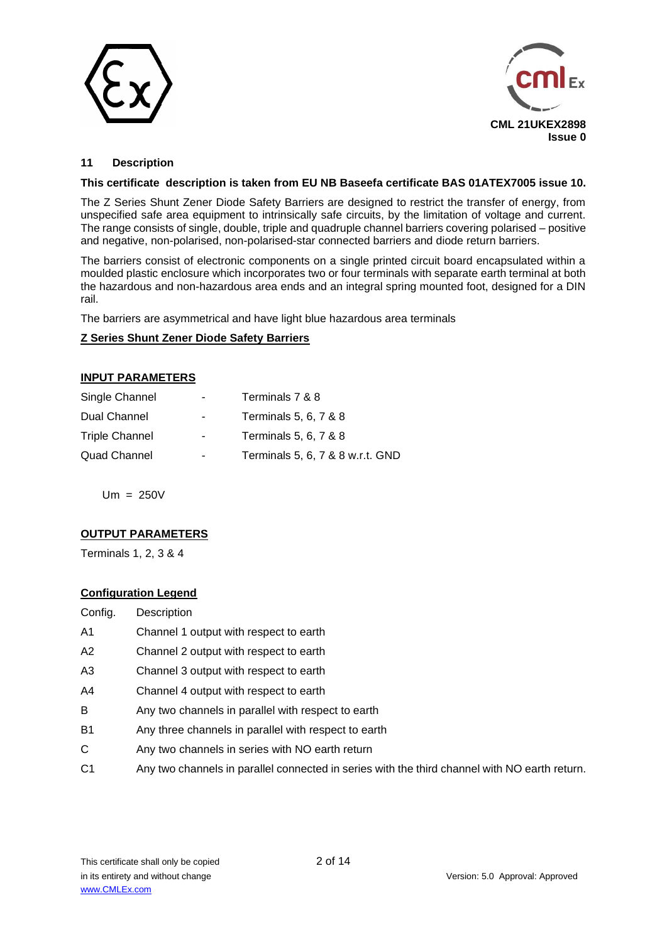



# **11 Description**

### **This certificate description is taken from EU NB Baseefa certificate BAS 01ATEX7005 issue 10.**

The Z Series Shunt Zener Diode Safety Barriers are designed to restrict the transfer of energy, from unspecified safe area equipment to intrinsically safe circuits, by the limitation of voltage and current. The range consists of single, double, triple and quadruple channel barriers covering polarised – positive and negative, non-polarised, non-polarised-star connected barriers and diode return barriers.

The barriers consist of electronic components on a single printed circuit board encapsulated within a moulded plastic enclosure which incorporates two or four terminals with separate earth terminal at both the hazardous and non-hazardous area ends and an integral spring mounted foot, designed for a DIN rail.

The barriers are asymmetrical and have light blue hazardous area terminals

# **Z Series Shunt Zener Diode Safety Barriers**

# **INPUT PARAMETERS**

| Single Channel        | $\blacksquare$ | Terminals 7 & 8                  |
|-----------------------|----------------|----------------------------------|
| Dual Channel          | ۰              | Terminals 5, 6, 7 & 8            |
| <b>Triple Channel</b> | ٠              | Terminals 5, 6, 7 & 8            |
| Quad Channel          | ٠              | Terminals 5, 6, 7 & 8 w.r.t. GND |

Um = 250V

# **OUTPUT PARAMETERS**

Terminals 1, 2, 3 & 4

### **Configuration Legend**

| Config.   | Description                                                                                   |
|-----------|-----------------------------------------------------------------------------------------------|
| Α1        | Channel 1 output with respect to earth                                                        |
| А2        | Channel 2 output with respect to earth                                                        |
| A3        | Channel 3 output with respect to earth                                                        |
| A4        | Channel 4 output with respect to earth                                                        |
| B         | Any two channels in parallel with respect to earth                                            |
| <b>B1</b> | Any three channels in parallel with respect to earth                                          |
| C.        | Any two channels in series with NO earth return                                               |
| C1        | Any two channels in parallel connected in series with the third channel with NO earth return. |
|           |                                                                                               |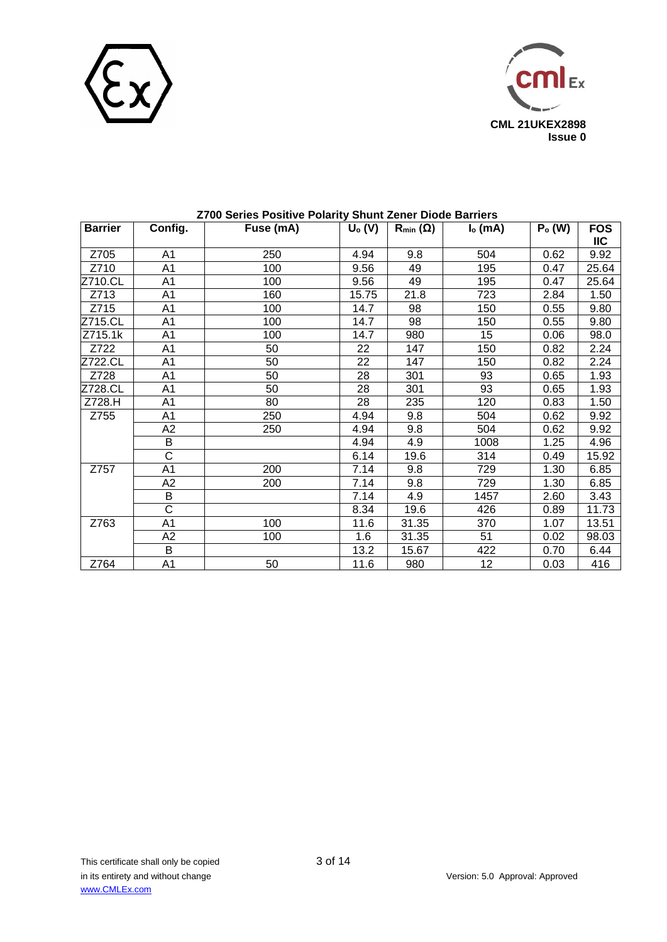



| <b>Barrier</b> | Config.               | Fuse (mA) | $U_0(V)$ | $R_{min}(\Omega)$ | $Io$ (mA) | $Po$ (W) | <b>FOS</b><br><b>IIC</b> |
|----------------|-----------------------|-----------|----------|-------------------|-----------|----------|--------------------------|
| Z705           | A1                    | 250       | 4.94     | 9.8               | 504       | 0.62     | 9.92                     |
| Z710           | A <sub>1</sub>        | 100       | 9.56     | 49                | 195       | 0.47     | 25.64                    |
| Z710.CL        | A <sub>1</sub>        | 100       | 9.56     | 49                | 195       | 0.47     | 25.64                    |
| Z713           | A <sub>1</sub>        | 160       | 15.75    | 21.8              | 723       | 2.84     | 1.50                     |
| Z715           | A <sub>1</sub>        | 100       | 14.7     | 98                | 150       | 0.55     | 9.80                     |
| Z715.CL        | A <sub>1</sub>        | 100       | 14.7     | 98                | 150       | 0.55     | 9.80                     |
| Z715.1k        | A <sub>1</sub>        | 100       | 14.7     | 980               | 15        | 0.06     | 98.0                     |
| Z722           | A <sub>1</sub>        | 50        | 22       | 147               | 150       | 0.82     | 2.24                     |
| Z722.CL        | A <sub>1</sub>        | 50        | 22       | 147               | 150       | 0.82     | 2.24                     |
| Z728           | A1                    | 50        | 28       | 301               | 93        | 0.65     | 1.93                     |
| Z728.CL        | A1                    | 50        | 28       | 301               | 93        | 0.65     | 1.93                     |
| Z728.H         | A <sub>1</sub>        | 80        | 28       | 235               | 120       | 0.83     | 1.50                     |
| Z755           | A1                    | 250       | 4.94     | 9.8               | 504       | 0.62     | 9.92                     |
|                | A2                    | 250       | 4.94     | 9.8               | 504       | 0.62     | 9.92                     |
|                | B                     |           | 4.94     | 4.9               | 1008      | 1.25     | 4.96                     |
|                | C                     |           | 6.14     | 19.6              | 314       | 0.49     | 15.92                    |
| Z757           | A <sub>1</sub>        | 200       | 7.14     | 9.8               | 729       | 1.30     | 6.85                     |
|                | A2                    | 200       | 7.14     | 9.8               | 729       | 1.30     | 6.85                     |
|                | $\overline{B}$        |           | 7.14     | 4.9               | 1457      | 2.60     | 3.43                     |
|                | $\overline{\text{c}}$ |           | 8.34     | 19.6              | 426       | 0.89     | 11.73                    |
| Z763           | A1                    | 100       | 11.6     | 31.35             | 370       | 1.07     | 13.51                    |
|                | A2                    | 100       | 1.6      | 31.35             | 51        | 0.02     | 98.03                    |
|                | B                     |           | 13.2     | 15.67             | 422       | 0.70     | 6.44                     |
| Z764           | A <sub>1</sub>        | 50        | 11.6     | 980               | 12        | 0.03     | 416                      |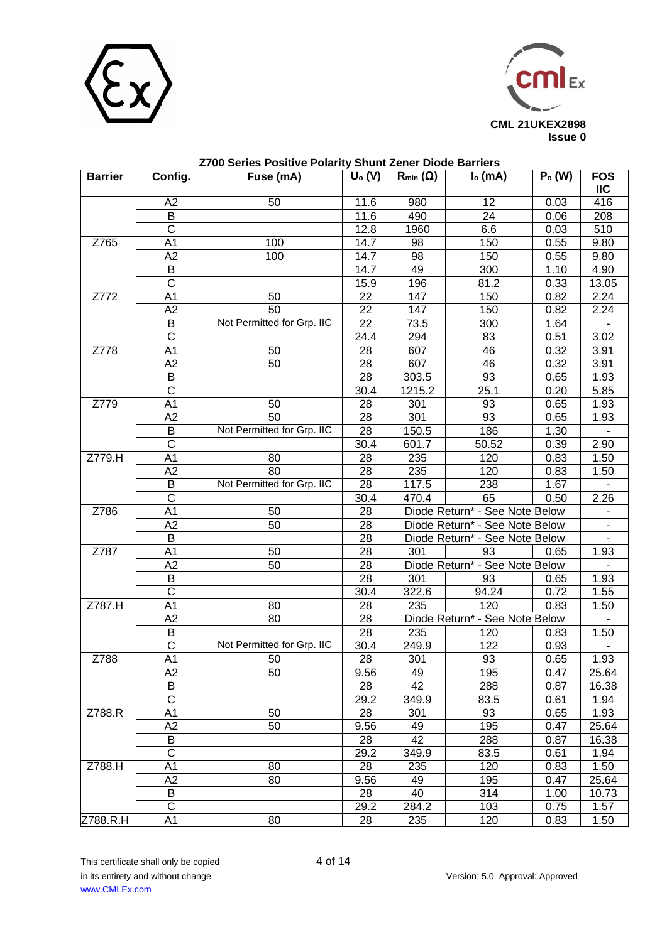



| <b>Barrier</b> | Config.                 | Fuse (mA)                  | $\overline{U}_{o}$ (V) | <u>UNUILLEUILUI DIUUU DUNNU</u><br>$R_{min}(\Omega)$ | $Io$ (mA)                            | $Po$ (W) | <b>FOS</b>               |
|----------------|-------------------------|----------------------------|------------------------|------------------------------------------------------|--------------------------------------|----------|--------------------------|
|                |                         |                            |                        |                                                      |                                      |          | <b>IIC</b>               |
|                | A2                      | 50                         | 11.6                   | 980                                                  | 12                                   | 0.03     | 416                      |
|                | B                       |                            | 11.6                   | 490                                                  | 24                                   | 0.06     | 208                      |
|                | $\overline{\mathrm{c}}$ |                            | 12.8                   | 1960                                                 | 6.6                                  | 0.03     | 510                      |
| Z765           | A <sub>1</sub>          | 100                        | 14.7                   | 98                                                   | 150                                  | 0.55     | 9.80                     |
|                | A2                      | 100                        | 14.7                   | 98                                                   | 150                                  | 0.55     | 9.80                     |
|                | $\sf B$                 |                            | 14.7                   | 49                                                   | 300                                  | 1.10     | 4.90                     |
|                | $\mathsf{C}$            |                            | 15.9                   | 196                                                  | 81.2                                 | 0.33     | 13.05                    |
| Z772           | A <sub>1</sub>          | 50                         | 22                     | 147                                                  | 150                                  | 0.82     | 2.24                     |
|                | A2                      | 50                         | 22                     | 147                                                  | 150                                  | 0.82     | 2.24                     |
| B              |                         | Not Permitted for Grp. IIC | 22                     | 73.5                                                 | 300                                  | 1.64     |                          |
|                | $\mathsf C$             |                            | 24.4                   | 294                                                  | 83                                   | 0.51     | 3.02                     |
| Z778           | A <sub>1</sub>          | 50                         | 28                     | 607                                                  | 46                                   | 0.32     | 3.91                     |
|                | A2                      | 50                         | 28                     | 607                                                  | 46                                   | 0.32     | 3.91                     |
|                | B                       |                            | 28                     | 303.5                                                | 93                                   | 0.65     | 1.93                     |
|                | $\mathsf C$             |                            | 30.4                   | 1215.2                                               | 25.1                                 | 0.20     | 5.85                     |
| Z779           | A <sub>1</sub>          | 50                         | 28                     | 301                                                  | 93                                   | 0.65     | 1.93                     |
|                | A2                      | 50                         | 28                     | 301                                                  | 93                                   | 0.65     | 1.93                     |
|                | $\sf B$                 | Not Permitted for Grp. IIC | 28                     | 150.5                                                | 186                                  | 1.30     |                          |
|                | $\mathsf{C}$            |                            | 30.4                   | 601.7                                                | 50.52                                | 0.39     | 2.90                     |
| Z779.H         | A <sub>1</sub>          | 80                         | 28                     | 235                                                  | 120                                  | 0.83     | 1.50                     |
|                | A2                      | 80                         | 28                     | 235                                                  | 120                                  | 0.83     | 1.50                     |
|                | B                       | Not Permitted for Grp. IIC | $\overline{28}$        | 117.5                                                | 238                                  | 1.67     |                          |
|                | $\overline{C}$          |                            | 30.4                   | 470.4                                                | 65                                   | 0.50     | 2.26                     |
| Z786           | A <sub>1</sub>          | 50                         | 28                     |                                                      | Diode Return* - See Note Below       |          | $\overline{\phantom{a}}$ |
|                | A2                      | 50                         | 28                     |                                                      | Diode Return* - See Note Below       |          | ÷.                       |
|                | B                       |                            | 28                     |                                                      | $\overline{\phantom{0}}$             |          |                          |
| Z787           | A <sub>1</sub>          | 50                         | 28                     | 301                                                  | Diode Return* - See Note Below<br>93 |          | 1.93                     |
|                | A2                      | 50                         | 28                     |                                                      | Diode Return* - See Note Below       | 0.65     |                          |
|                | $\sf B$                 |                            | 28                     | 301                                                  | 93                                   | 0.65     | 1.93                     |
|                | $\overline{C}$          |                            | 30.4                   | 322.6                                                | 94.24                                | 0.72     | 1.55                     |
| Z787.H         | A <sub>1</sub>          | 80                         | 28                     | 235                                                  | 120                                  | 0.83     | 1.50                     |
|                | A2                      | 80                         | 28                     | Diode Return* - See Note Below                       |                                      |          |                          |
|                | B                       |                            | 28                     | 235                                                  | 120                                  | 0.83     | 1.50                     |
|                | $\overline{C}$          | Not Permitted for Grp. IIC | 30.4                   | 249.9                                                | 122                                  | 0.93     |                          |
| Z788           | $\overline{A1}$         | 50                         | $\overline{28}$        | 301                                                  | 93                                   | 0.65     | 1.93                     |
|                | A2                      | 50                         | 9.56                   | 49                                                   | 195                                  | 0.47     | 25.64                    |
|                | B                       |                            | 28                     | 42                                                   | 288                                  | 0.87     | 16.38                    |
|                | $\overline{\mathrm{c}}$ |                            | 29.2                   | 349.9                                                | 83.5                                 | 0.61     | 1.94                     |
| Z788.R         | A <sub>1</sub>          | 50                         | 28                     | 301                                                  | 93                                   | 0.65     | 1.93                     |
|                | A <sub>2</sub>          | 50                         | 9.56                   | 49                                                   | 195                                  | 0.47     | 25.64                    |
|                | B                       |                            | 28                     | 42                                                   | 288                                  | 0.87     | 16.38                    |
|                | $\overline{\mathrm{c}}$ |                            | 29.2                   | 349.9                                                | 83.5                                 | 0.61     | 1.94                     |
| Z788.H         | A <sub>1</sub>          | 80                         | 28                     | 235                                                  | 120                                  | 0.83     | 1.50                     |
|                | A2                      | 80                         | 9.56                   | 49                                                   | 195                                  | 0.47     | 25.64                    |
|                | B                       |                            | 28                     | 40                                                   | 314                                  | 1.00     | 10.73                    |
|                | $\overline{C}$          |                            | 29.2                   | 284.2                                                | 103                                  | 0.75     | 1.57                     |
| Z788.R.H       | A <sub>1</sub>          | 80                         | 28                     | 235                                                  | 120                                  | 0.83     | 1.50                     |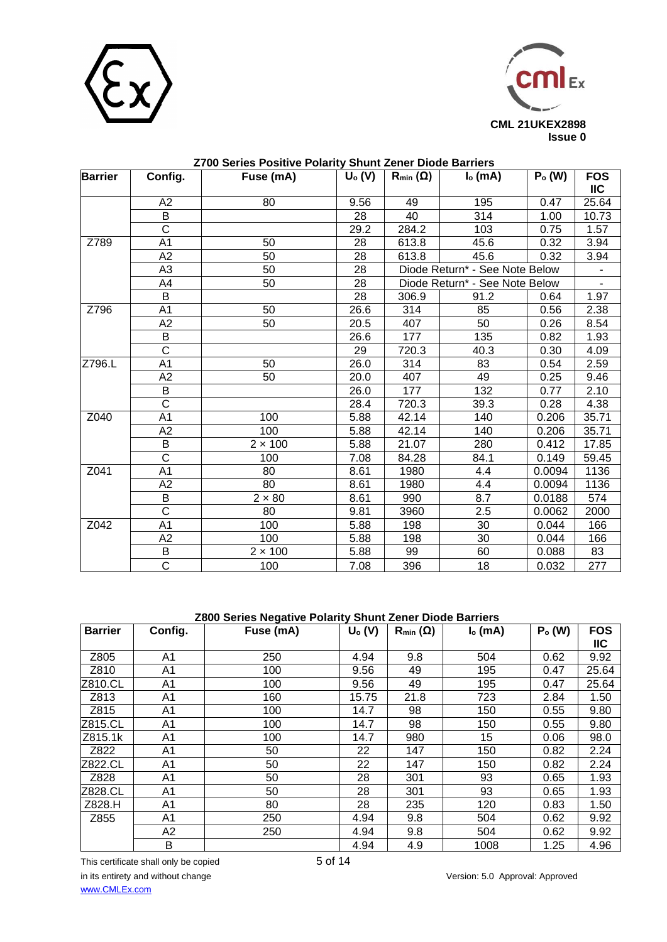



| <b>Barrier</b> | Config.               | Live ochos i contro i cianty chain Lonoi Dioac Dani<br>Fuse (mA) | $U_0(V)$ | $R_{min}(\Omega)$              | $Io$ (mA)                      | $Po$ (W) | <b>FOS</b>     |
|----------------|-----------------------|------------------------------------------------------------------|----------|--------------------------------|--------------------------------|----------|----------------|
|                |                       |                                                                  |          |                                |                                |          | $\mathsf{IIC}$ |
|                | A2                    | 80                                                               | 9.56     | 49                             | 195                            | 0.47     | 25.64          |
|                | $\sf B$               |                                                                  | 28       | 40                             | 314                            | 1.00     | 10.73          |
|                | $\overline{\text{c}}$ |                                                                  | 29.2     | 284.2                          | 103                            | 0.75     | 1.57           |
| Z789           | A1                    | 50                                                               | 28       | 613.8                          | 45.6                           | 0.32     | 3.94           |
|                | A2                    | 50                                                               | 28       | 613.8                          | 45.6                           | 0.32     | 3.94           |
|                | A <sub>3</sub>        | 50                                                               | 28       | Diode Return* - See Note Below |                                |          |                |
|                | A4                    | 50                                                               | 28       |                                | Diode Return* - See Note Below |          |                |
|                | B                     |                                                                  | 28       | 306.9                          | 91.2                           | 0.64     | 1.97           |
| Z796           | A1                    | 50                                                               | 26.6     | 314                            | 85                             | 0.56     | 2.38           |
|                | A2                    | 50                                                               | 20.5     | 407                            | 50                             | 0.26     | 8.54           |
|                | B                     |                                                                  | 26.6     | 177                            | 135                            | 0.82     | 1.93           |
|                | $\overline{\text{c}}$ |                                                                  | 29       | 720.3                          | 40.3                           | 0.30     | 4.09           |
| Z796.L         | A <sub>1</sub>        | 50                                                               | 26.0     | 314                            | 83                             | 0.54     | 2.59           |
|                | A2                    | 50                                                               | 20.0     | 407                            | 49                             | 0.25     | 9.46           |
|                | B                     |                                                                  | 26.0     | 177                            | 132                            | 0.77     | 2.10           |
|                | $\overline{\text{c}}$ |                                                                  | 28.4     | 720.3                          | 39.3                           | 0.28     | 4.38           |
| Z040           | A <sub>1</sub>        | 100                                                              | 5.88     | 42.14                          | 140                            | 0.206    | 35.71          |
|                | A2                    | 100                                                              | 5.88     | 42.14                          | 140                            | 0.206    | 35.71          |
|                | $\sf B$               | $2 \times 100$                                                   | 5.88     | 21.07                          | 280                            | 0.412    | 17.85          |
|                | $\overline{\text{c}}$ | 100                                                              | 7.08     | 84.28                          | 84.1                           | 0.149    | 59.45          |
| Z041           | A <sub>1</sub>        | 80                                                               | 8.61     | 1980                           | 4.4                            | 0.0094   | 1136           |
|                | A2                    | 80                                                               | 8.61     | 1980                           | 4.4                            | 0.0094   | 1136           |
|                | B                     | $2 \times 80$                                                    | 8.61     | 990                            | 8.7                            | 0.0188   | 574            |
|                | $\overline{\text{c}}$ | $\overline{80}$                                                  | 9.81     | 3960                           | $\overline{2.5}$               | 0.0062   | 2000           |
| Z042           | A <sub>1</sub>        | 100                                                              | 5.88     | 198                            | 30                             | 0.044    | 166            |
|                | A2                    | 100                                                              | 5.88     | 198                            | 30                             | 0.044    | 166            |
|                | $\sf B$               | $2 \times 100$                                                   | 5.88     | 99                             | 60                             | 0.088    | 83             |
|                | $\overline{\text{c}}$ | 100                                                              | 7.08     | 396                            | 18                             | 0.032    | 277            |

# **Z800 Series Negative Polarity Shunt Zener Diode Barriers**

| <b>Barrier</b> | Config.        | Fuse (mA) | $U_0(V)$ | $R_{min}(\Omega)$ | $Io$ (mA) | $Po$ (W) | <b>FOS</b> |
|----------------|----------------|-----------|----------|-------------------|-----------|----------|------------|
|                |                |           |          |                   |           |          | <b>IIC</b> |
| Z805           | A1             | 250       | 4.94     | 9.8               | 504       | 0.62     | 9.92       |
| Z810           | A1             | 100       | 9.56     | 49                | 195       | 0.47     | 25.64      |
| Z810.CL        | A1             | 100       | 9.56     | 49                | 195       | 0.47     | 25.64      |
| Z813           | A1             | 160       | 15.75    | 21.8              | 723       | 2.84     | 1.50       |
| Z815           | A1             | 100       | 14.7     | 98                | 150       | 0.55     | 9.80       |
| Z815.CL        | A1             | 100       | 14.7     | 98                | 150       | 0.55     | 9.80       |
| Z815.1k        | A <sub>1</sub> | 100       | 14.7     | 980               | 15        | 0.06     | 98.0       |
| Z822           | A1             | 50        | 22       | 147               | 150       | 0.82     | 2.24       |
| Z822.CL        | A1             | 50        | 22       | 147               | 150       | 0.82     | 2.24       |
| Z828           | A1             | 50        | 28       | 301               | 93        | 0.65     | 1.93       |
| Z828.CL        | A <sub>1</sub> | 50        | 28       | 301               | 93        | 0.65     | 1.93       |
| Z828.H         | A1             | 80        | 28       | 235               | 120       | 0.83     | 1.50       |
| Z855           | A1             | 250       | 4.94     | 9.8               | 504       | 0.62     | 9.92       |
|                | A2             | 250       | 4.94     | 9.8               | 504       | 0.62     | 9.92       |
|                | B              |           | 4.94     | 4.9               | 1008      | 1.25     | 4.96       |

This certificate shall only be copied 5 of 14 in its entirety and without change Version: 5.0 Approval: Approved [www.CMLEx.com](http://www.cmlex.com/)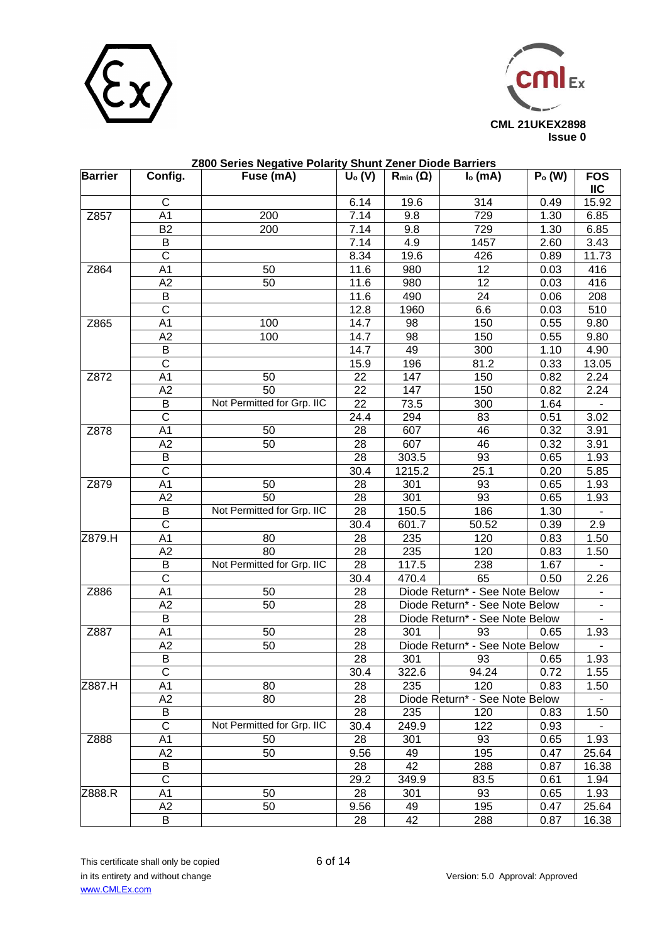



| <b>Barrier</b> |                         | 2800 Series Negative Polarity Shunt Zener Diode Barriers |          |                   |                                |          |                          |
|----------------|-------------------------|----------------------------------------------------------|----------|-------------------|--------------------------------|----------|--------------------------|
|                | Config.                 | Fuse (mA)                                                | $U_0(V)$ | $R_{min}(\Omega)$ | $Io$ (mA)                      | $Po$ (W) | <b>FOS</b><br><b>IIC</b> |
|                | $\mathsf{C}$            |                                                          | 6.14     | 19.6              | 314                            | 0.49     | 15.92                    |
| Z857           | A <sub>1</sub>          | 200                                                      | 7.14     | 9.8               | 729                            | 1.30     | 6.85                     |
|                | <b>B2</b>               | 200                                                      | 7.14     | 9.8               | 729                            | 1.30     | 6.85                     |
|                | B                       |                                                          | 7.14     | 4.9               | 1457                           | 2.60     | 3.43                     |
|                | $\overline{\mathsf{C}}$ |                                                          | 8.34     | 19.6              | 426                            | 0.89     | 11.73                    |
| Z864           | A <sub>1</sub>          | 50                                                       | 11.6     | 980               | 12                             | 0.03     | 416                      |
|                | A2                      | 50                                                       | 11.6     | 980               | $\overline{12}$                | 0.03     | 416                      |
|                | B                       |                                                          | 11.6     | 490               | 24                             | 0.06     | 208                      |
|                | $\overline{\text{c}}$   |                                                          | 12.8     | 1960              | 6.6                            | 0.03     | 510                      |
| Z865           | A <sub>1</sub>          | 100                                                      | 14.7     | 98                | 150                            | 0.55     | 9.80                     |
|                | A <sub>2</sub>          | 100                                                      | 14.7     | 98                | 150                            | 0.55     | 9.80                     |
|                | B                       |                                                          | 14.7     | 49                | 300                            | 1.10     | 4.90                     |
|                | $\overline{\text{c}}$   |                                                          | 15.9     | 196               | 81.2                           | 0.33     | 13.05                    |
| Z872           | A <sub>1</sub>          | 50                                                       | 22       | 147               | 150                            | 0.82     | 2.24                     |
|                | A2                      | 50                                                       | 22       | 147               | 150                            | 0.82     | 2.24                     |
|                | B                       | Not Permitted for Grp. IIC                               | 22       | 73.5              | 300                            | 1.64     |                          |
|                | $\overline{\mathsf{C}}$ |                                                          | 24.4     | 294               | 83                             | 0.51     | 3.02                     |
| Z878           | A <sub>1</sub>          | 50                                                       | 28       | 607               | 46                             | 0.32     | 3.91                     |
|                | A2                      | 50                                                       | 28       | 607               | 46                             | 0.32     | 3.91                     |
|                | B                       |                                                          | 28       | 303.5             | 93                             | 0.65     | 1.93                     |
|                | $\overline{C}$          |                                                          | 30.4     | 1215.2            | 25.1                           | 0.20     | 5.85                     |
| Z879           | A <sub>1</sub>          | 50                                                       | 28       | 301               | 93                             | 0.65     | 1.93                     |
|                | A2                      | $\overline{50}$                                          | 28       | 301               | 93                             | 0.65     | 1.93                     |
|                | B                       | Not Permitted for Grp. IIC                               | 28       | 150.5             | 186                            | 1.30     |                          |
|                | $\overline{\mathsf{C}}$ |                                                          | 30.4     | 601.7             | 50.52                          | 0.39     | 2.9                      |
| Z879.H         | A <sub>1</sub>          | 80                                                       | 28       | 235               | 120                            | 0.83     | 1.50                     |
|                | A2                      | $\overline{80}$                                          | 28       | 235               | 120                            | 0.83     | 1.50                     |
|                | B                       | Not Permitted for Grp. IIC                               | 28       | 117.5             | 238                            | 1.67     |                          |
|                | $\overline{\text{c}}$   |                                                          | 30.4     | 470.4             | 65                             | 0.50     | 2.26                     |
| Z886           | A <sub>1</sub>          | 50                                                       | 28       |                   | Diode Return* - See Note Below |          |                          |
|                | A2                      | 50                                                       | 28       |                   | Diode Return* - See Note Below |          |                          |
|                | B                       |                                                          | 28       |                   | Diode Return* - See Note Below |          |                          |
| Z887           | A <sub>1</sub>          | 50                                                       | 28       | 301               | 93                             | 0.65     | 1.93                     |
|                | A2                      | 50                                                       | 28       |                   | Diode Return* - See Note Below |          |                          |
|                | B                       |                                                          | 28       | 301               | 93                             | 0.65     | 1.93                     |
|                | C                       |                                                          | 30.4     | 322.6             | 94.24                          | 0.72     | 1.55                     |
| Z887.H         | A1                      | 80                                                       | 28       | 235               | 120                            | 0.83     | 1.50                     |
|                | A2                      | 80                                                       | 28       |                   | Diode Return* - See Note Below |          |                          |
|                | B                       |                                                          | 28       | 235               | 120                            | 0.83     | 1.50                     |
|                | $\overline{C}$          | Not Permitted for Grp. IIC                               | 30.4     | 249.9             | 122                            | 0.93     |                          |
| Z888           | A1                      | 50                                                       | 28       | 301               | 93                             | 0.65     | 1.93                     |
|                | A2                      | 50                                                       | 9.56     | 49                | 195                            | 0.47     | 25.64                    |
|                | B                       |                                                          | 28       | 42                | 288                            | 0.87     | 16.38                    |
|                | $\overline{\text{c}}$   |                                                          | 29.2     | 349.9             | 83.5                           | 0.61     | 1.94                     |
| Z888.R         | A1                      | 50                                                       | 28       | 301               | 93                             | 0.65     | 1.93                     |
|                | A2                      | 50                                                       | 9.56     | 49                | 195                            | 0.47     | 25.64                    |
|                | B                       |                                                          | 28       | 42                | 288                            | 0.87     | 16.38                    |

This certificate shall only be copied 6 of 14 in its entirety and without change Version: 5.0 Approval: Approved [www.CMLEx.com](http://www.cmlex.com/)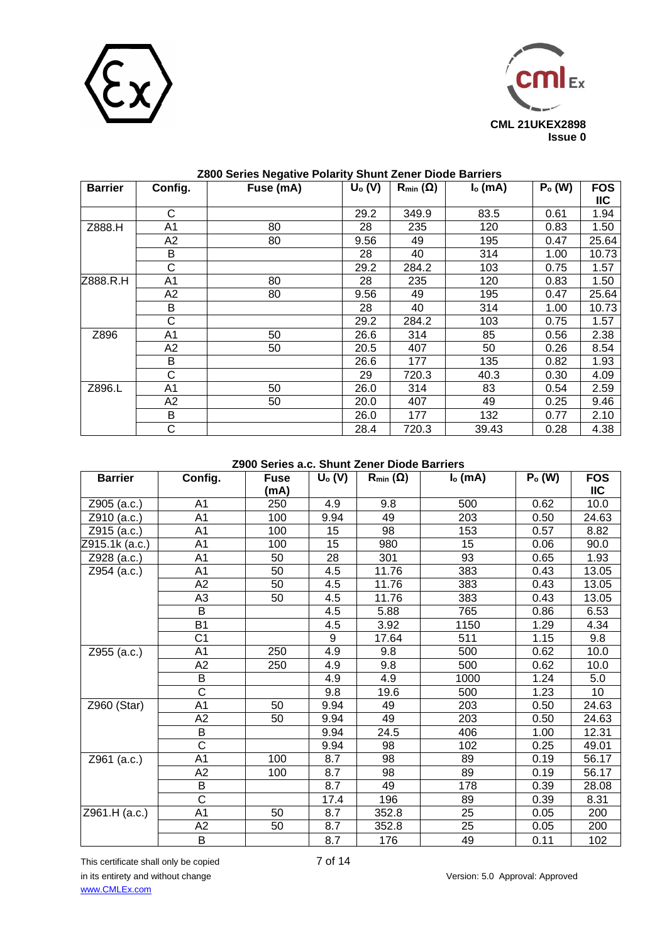



|                |                | . . <del>.</del> |          |                   |           |          |            |
|----------------|----------------|------------------|----------|-------------------|-----------|----------|------------|
| <b>Barrier</b> | Config.        | Fuse (mA)        | $U_0(V)$ | $R_{min}(\Omega)$ | $Io$ (mA) | $Po$ (W) | <b>FOS</b> |
|                |                |                  |          |                   |           |          | IIC        |
|                | C              |                  | 29.2     | 349.9             | 83.5      | 0.61     | 1.94       |
| Z888.H         | A1             | 80               | 28       | 235               | 120       | 0.83     | 1.50       |
|                | A2             | 80               | 9.56     | 49                | 195       | 0.47     | 25.64      |
|                | B              |                  | 28       | 40                | 314       | 1.00     | 10.73      |
|                | $\mathsf C$    |                  | 29.2     | 284.2             | 103       | 0.75     | 1.57       |
| Z888.R.H       | A1             | 80               | 28       | 235               | 120       | 0.83     | 1.50       |
|                | A <sub>2</sub> | 80               | 9.56     | 49                | 195       | 0.47     | 25.64      |
|                | B              |                  | 28       | 40                | 314       | 1.00     | 10.73      |
|                | C              |                  | 29.2     | 284.2             | 103       | 0.75     | 1.57       |
| Z896           | A1             | 50               | 26.6     | 314               | 85        | 0.56     | 2.38       |
|                | A <sub>2</sub> | 50               | 20.5     | 407               | 50        | 0.26     | 8.54       |
|                | B              |                  | 26.6     | 177               | 135       | 0.82     | 1.93       |
|                | C              |                  | 29       | 720.3             | 40.3      | 0.30     | 4.09       |
| Z896.L         | A1             | 50               | 26.0     | 314               | 83        | 0.54     | 2.59       |
|                | A2             | 50               | 20.0     | 407               | 49        | 0.25     | 9.46       |
|                | B              |                  | 26.0     | 177               | 132       | 0.77     | 2.10       |
|                | C              |                  | 28.4     | 720.3             | 39.43     | 0.28     | 4.38       |

### **Z900 Series a.c. Shunt Zener Diode Barriers**

| <b>Barrier</b>                   | Config.                      | <b>Fuse</b><br>(mA) | $U_0(V)$ | $R_{min}(\Omega)$ | $Io$ (mA) | $Po$ (W) | <b>FOS</b><br><b>IIC</b> |
|----------------------------------|------------------------------|---------------------|----------|-------------------|-----------|----------|--------------------------|
| Z905 (a.c.)                      | A <sub>1</sub>               | 250                 | 4.9      | 9.8               | 500       | 0.62     | 10.0                     |
| Z910 (a.c.)                      | A <sub>1</sub><br>100<br>100 |                     | 9.94     | 49                | 203       | 0.50     | 24.63                    |
| Z915 (a.c.)                      | A <sub>1</sub>               |                     | 15       | 98                | 153       | 0.57     | 8.82                     |
| A <sub>1</sub><br>Z915.1k (a.c.) |                              | 100                 | 15       | 980               | 15        | 0.06     | 90.0                     |
| Z928 (a.c.)                      | A <sub>1</sub>               | 50                  | 28       | 93<br>301         |           | 0.65     | 1.93                     |
| Z954 (a.c.)                      | A <sub>1</sub>               | 50                  | 4.5      | 11.76             | 383       | 0.43     | 13.05                    |
|                                  | A2                           | 50                  | 4.5      | 11.76             | 383       | 0.43     | 13.05                    |
|                                  | A <sub>3</sub>               | 50                  | 4.5      | 11.76             | 383       | 0.43     | 13.05                    |
|                                  | B                            |                     | 4.5      | 5.88              | 765       | 0.86     | 6.53                     |
|                                  | <b>B1</b>                    |                     | 4.5      | 3.92              | 1150      | 1.29     | 4.34                     |
|                                  | C <sub>1</sub>               | 9                   |          | 17.64             | 511       | 1.15     | 9.8                      |
| Z955 (a.c.)                      | A <sub>1</sub>               | 250                 | 4.9      | 9.8               | 500       | 0.62     | 10.0                     |
|                                  | A2                           | 250                 | 4.9      | 9.8               | 500       | 0.62     | 10.0                     |
|                                  | B                            |                     | 4.9      | 4.9               | 1000      | 1.24     | 5.0                      |
|                                  | $\overline{\text{C}}$        |                     | 9.8      | 19.6              | 500       | 1.23     | 10                       |
| Z960 (Star)                      | A <sub>1</sub>               | 50                  | 9.94     | 49                | 203       | 0.50     | 24.63                    |
|                                  | A <sub>2</sub>               | 50                  | 9.94     | 49                | 203       | 0.50     | 24.63                    |
|                                  | B                            |                     | 9.94     | 24.5              | 406       | 1.00     | 12.31                    |
|                                  | $\overline{\text{c}}$        |                     | 9.94     | 98                | 102       | 0.25     | 49.01                    |
| Z961 (a.c.)                      | A <sub>1</sub>               | 100                 | 8.7      | 98                | 89        | 0.19     | 56.17                    |
|                                  | A2                           | 100                 | 8.7      | 98                | 89        | 0.19     | 56.17                    |
|                                  | $\overline{B}$               |                     | 8.7      | 49                | 178       | 0.39     | 28.08                    |
|                                  | $\overline{\text{C}}$        |                     | 17.4     | 196               | 89        | 0.39     | 8.31                     |
| Z961.H (a.c.)                    | A <sub>1</sub>               | 50                  | 8.7      | 352.8             | 25        | 0.05     | 200                      |
|                                  | A2                           | 50                  | 8.7      | 352.8             | 25        | 0.05     | 200                      |
|                                  | B                            |                     | 8.7      | 176               | 49        | 0.11     | 102                      |

This certificate shall only be copied 7 of 14 in its entirety and without change Version: 5.0 Approval: Approved [www.CMLEx.com](http://www.cmlex.com/)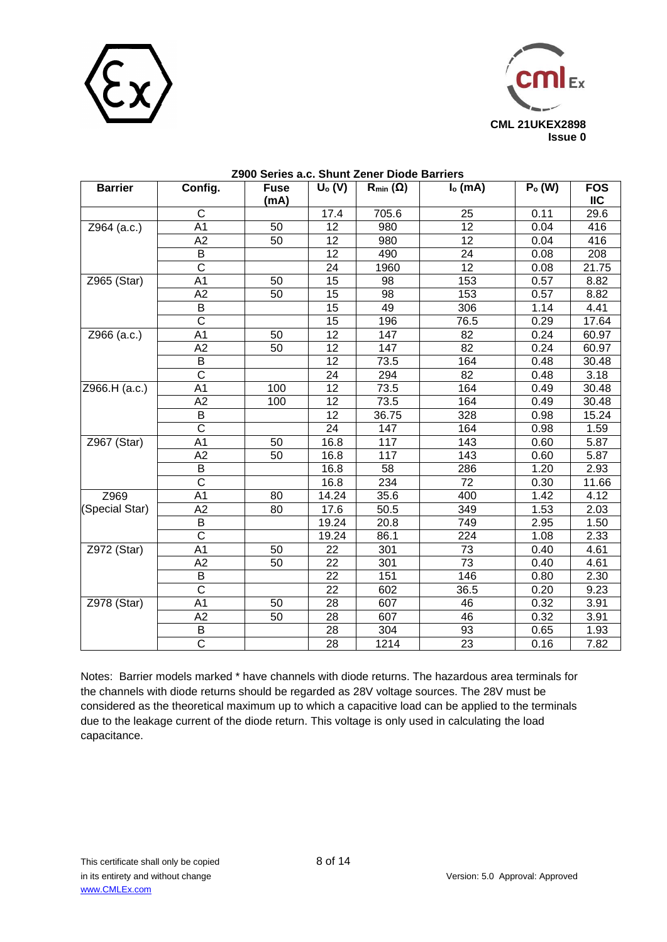



| <b>Barrier</b> | Config.               | <b>Fuse</b><br>(mA) | $U_0(V)$        | $R_{min}(\Omega)$ | $Io$ (mA)       | $Po$ (W) | <b>FOS</b><br><b>IIC</b> |
|----------------|-----------------------|---------------------|-----------------|-------------------|-----------------|----------|--------------------------|
|                | C                     |                     | 17.4            | 705.6             | 25              | 0.11     | 29.6                     |
| Z964 (a.c.)    | A <sub>1</sub>        | 50                  | 12              | 980               | $\overline{12}$ | 0.04     | 416                      |
|                | A2                    | 50                  | 12              | 980               | 12              | 0.04     | 416                      |
|                | B                     |                     | 12              | 490               | 24              | 0.08     | 208                      |
|                | $\overline{\text{c}}$ |                     | 24              | 1960              | $\overline{12}$ | 0.08     | 21.75                    |
| Z965 (Star)    | A <sub>1</sub>        | 50                  | 15              | 98                | 153             | 0.57     | 8.82                     |
|                | A2                    | 50                  | 15              | 98                | 153             | 0.57     | 8.82                     |
|                | B                     |                     | $\overline{15}$ | 49                | 306             | 1.14     | 4.41                     |
|                | $\overline{\text{c}}$ |                     | 15              | 196               | 76.5            | 0.29     | 17.64                    |
| Z966 (a.c.)    | A <sub>1</sub>        | 50                  | 12              | 147               | 82              | 0.24     | 60.97                    |
|                | A2                    | 50                  | 12              | 147               | 82              | 0.24     | 60.97                    |
|                | $\overline{B}$        |                     | 12              | 73.5              | 164             | 0.48     | 30.48                    |
|                | $\overline{\text{c}}$ |                     | 24              | 294               | 82              | 0.48     | 3.18                     |
| Z966.H (a.c.)  | A <sub>1</sub>        | 100                 | $\overline{12}$ | 73.5              | 164             | 0.49     | 30.48                    |
|                | A2                    | 100                 | 12              | 73.5              | 164             | 0.49     | 30.48                    |
|                | B                     |                     | 12              | 36.75             | 328             | 0.98     | 15.24                    |
|                | $\overline{\text{c}}$ |                     | 24              | 147               | 164             | 0.98     | 1.59                     |
| Z967 (Star)    | A <sub>1</sub>        | 50                  | 16.8            | 117               | 143             |          | 5.87                     |
|                | A2                    | 50                  | 16.8            | 117               | 143             | 0.60     | 5.87                     |
|                | B                     |                     | 16.8            | 58                | 286             | 1.20     | 2.93                     |
|                | $\overline{\text{c}}$ |                     | 16.8            | 234               | 72              | 0.30     | 11.66                    |
| Z969           | A <sub>1</sub>        | 80                  | 14.24           | 35.6              | 400             | 1.42     | 4.12                     |
| (Special Star) | A2                    | 80                  | 17.6            | 50.5              | 349             | 1.53     | 2.03                     |
|                | B                     |                     | 19.24           | 20.8              | 749             | 2.95     | 1.50                     |
|                | $\mathsf{C}$          |                     | 19.24           | 86.1              | 224             | 1.08     | 2.33                     |
| Z972 (Star)    | A <sub>1</sub>        | 50                  | 22              | 301               | 73              | 0.40     | 4.61                     |
|                | A2                    | 50                  | 22              | 301               | $\overline{73}$ | 0.40     | 4.61                     |
|                | B                     |                     | 22              | 151               | 146             | 0.80     | $2.\overline{30}$        |
|                | $\overline{\text{c}}$ |                     | 22              | 602               | 36.5            | 0.20     | 9.23                     |
| Z978 (Star)    | A <sub>1</sub>        | 50                  | 28              | 607               | 46              | 0.32     | 3.91                     |
|                | $\overline{A2}$       | 50                  | $\overline{28}$ | 607               | 46              | 0.32     | 3.91                     |
|                | B                     |                     | 28              | 304               | 93              | 0.65     | 1.93                     |
|                | $\overline{\text{c}}$ |                     | 28              | 1214              | 23              | 0.16     | 7.82                     |

# **Z900 Series a.c. Shunt Zener Diode Barriers**

Notes: Barrier models marked \* have channels with diode returns. The hazardous area terminals for the channels with diode returns should be regarded as 28V voltage sources. The 28V must be considered as the theoretical maximum up to which a capacitive load can be applied to the terminals due to the leakage current of the diode return. This voltage is only used in calculating the load capacitance.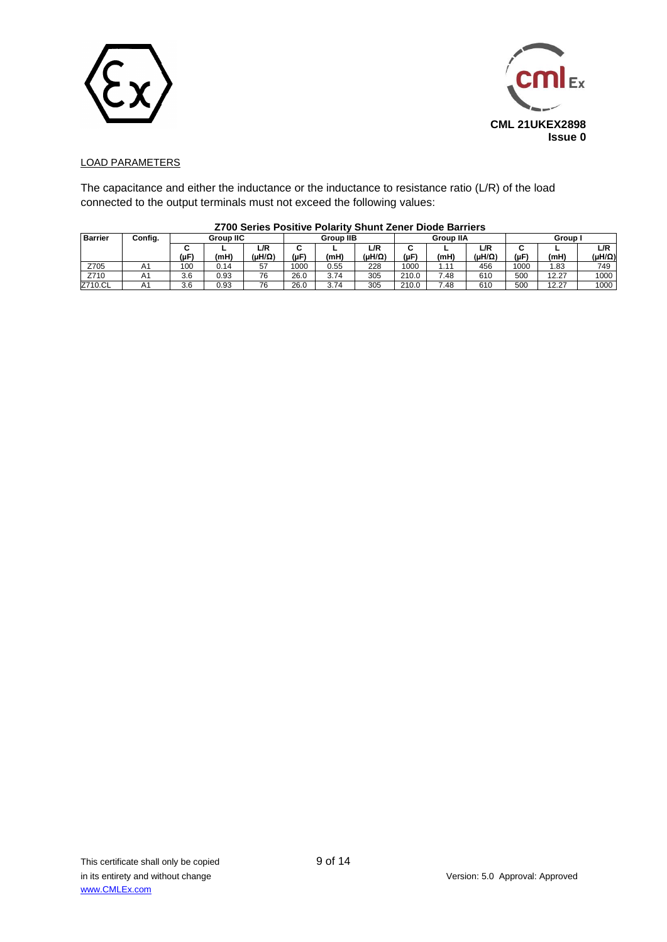



### LOAD PARAMETERS

The capacitance and either the inductance or the inductance to resistance ratio (L/R) of the load connected to the output terminals must not exceed the following values:

|                |         |     |                  | ----------           |                     |      |               |                  | _______ |                 |                |       |                      |
|----------------|---------|-----|------------------|----------------------|---------------------|------|---------------|------------------|---------|-----------------|----------------|-------|----------------------|
| <b>Barrier</b> | Config. |     | <b>Group IIC</b> |                      | <b>Group IIB</b>    |      |               | <b>Group IIA</b> |         |                 | Group          |       |                      |
|                |         | (µF | (mH)             | L/R<br>$(uH/\Omega)$ | ∽<br>ີ<br>$(\mu F)$ | (mH) | L/R<br>(uH/Ω) | ີ<br>(IF)        | (mH)    | L/R<br>(uH/Ω)   | ີ<br>$(\mu F)$ | (mH)  | L/R<br>$(uH/\Omega)$ |
| Z705           | n i     | 100 | 0.14             | 57                   | 1000                | 0.55 | 228           | 1000             |         | 456             | 1000           | l.83  | 749                  |
| Z710           | A1      | 3.6 | 0.93             | 76                   | 26.0                | 3.74 | 305           | 210.0            | 7.48    | 610             | 500            | 12.27 | 1000                 |
| Z710.CL        | A۱      | 3.6 | 0.93             | 76                   | 26.0                | 3.74 | 305           | 210.0            | 7.48    | 61 <sub>C</sub> | 500            | 12.27 | 1000                 |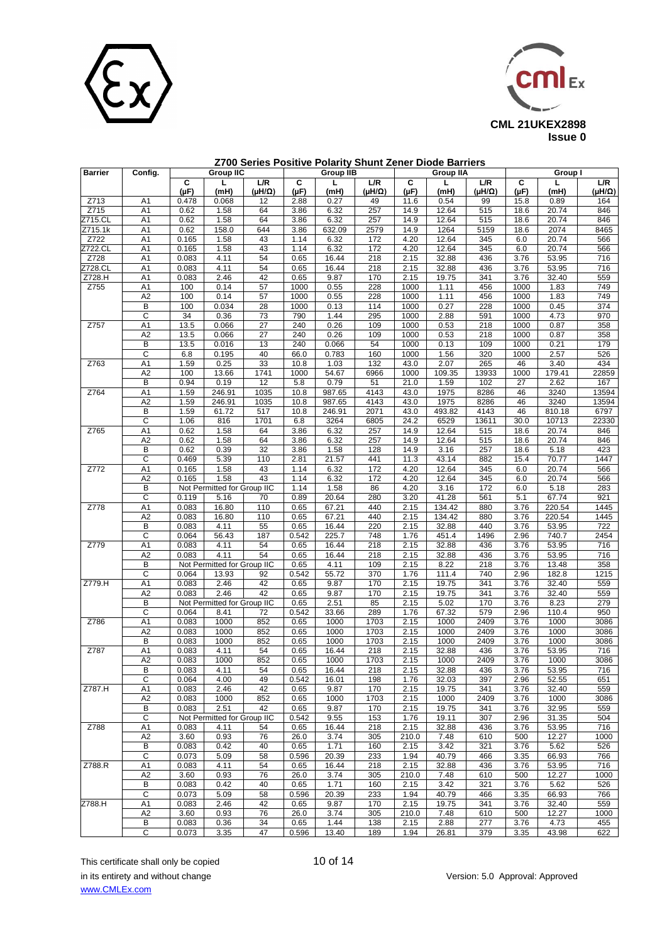



| Barrier        | Config.               | <b>Group IIC</b> |                                     |                         | <b>Group IIB</b> |              |                         | <b>Group IIA</b> |               |                         | Group I    |                |                         |
|----------------|-----------------------|------------------|-------------------------------------|-------------------------|------------------|--------------|-------------------------|------------------|---------------|-------------------------|------------|----------------|-------------------------|
|                |                       | c<br>$(\mu F)$   | L.<br>(mH)                          | L/R<br>$(\mu H/\Omega)$ | C<br>(µF)        | г<br>(mH)    | L/R<br>$(\mu H/\Omega)$ | C<br>(µF)        | L<br>(mH)     | L/R<br>$(\mu H/\Omega)$ | C<br>(µF)  | L.<br>(mH)     | L/R<br>$(\mu H/\Omega)$ |
| Z713           | A1                    | 0.478            | 0.068                               | 12                      | 2.88             | 0.27         | 49                      | 11.6             | 0.54          | 99                      | 15.8       | 0.89           | 164                     |
| Z715           | A1                    | 0.62             | 1.58                                | 64                      | 3.86             | 6.32         | 257                     | 14.9             | 12.64         | 515                     | 18.6       | 20.74          | 846                     |
| Z715.CL        | A1                    | 0.62             | 1.58                                | 64                      | 3.86             | 6.32         | 257                     | 14.9             | 12.64         | 515                     | 18.6       | 20.74          | 846                     |
| Z715.1k        | A1                    | 0.62             | 158.0                               | 644                     | 3.86             | 632.09       | 2579                    | 14.9             | 1264          | 5159                    | 18.6       | 2074           | 8465                    |
| Z722           | A1                    | 0.165            | 1.58                                | 43                      | 1.14             | 6.32         | 172                     | 4.20             | 12.64         | 345                     | 6.0        | 20.74          | 566                     |
| <b>Z722.CL</b> | A1                    | 0.165            | 1.58                                | 43                      | 1.14             | 6.32         | 172                     | 4.20             | 12.64         | 345                     | 6.0        | 20.74          | 566                     |
| Z728           | A <sub>1</sub>        | 0.083            | 4.11                                | 54                      | 0.65             | 16.44        | 218                     | 2.15             | 32.88         | 436                     | 3.76       | 53.95          | 716                     |
| Z728.CL        | A1                    | 0.083            | 4.11                                | 54                      | 0.65             | 16.44        | 218                     | 2.15             | 32.88         | 436                     | 3.76       | 53.95          | 716                     |
| Z728.H         | A1                    | 0.083            | 2.46                                | 42                      | 0.65             | 9.87         | 170                     | 2.15             | 19.75         | 341                     | 3.76       | 32.40          | 559                     |
| Z755           | A1                    | 100              | 0.14                                | 57                      | 1000             | 0.55         | 228                     | 1000             | 1.11          | 456                     | 1000       | 1.83           | 749                     |
|                | A2                    | 100              | 0.14                                | 57                      | 1000             | 0.55         | 228                     | 1000             | 1.11          | 456                     | 1000       | 1.83           | 749                     |
|                | B                     | 100              | 0.034                               | 28                      | 1000             | 0.13         | 114                     | 1000             | 0.27          | 228                     | 1000       | 0.45           | $\overline{374}$        |
|                | C                     | 34               | 0.36                                | 73                      | 790              | 1.44         | 295                     | 1000             | 2.88          | 591                     | 1000       | 4.73           | 970                     |
| Z757           | A1                    | 13.5             | 0.066                               | 27                      | 240              | 0.26         | 109                     | 1000             | 0.53          | 218                     | 1000       | 0.87           | 358                     |
|                | A2                    | 13.5             | 0.066                               | 27                      | 240              | 0.26         | 109                     | 1000             | 0.53          | 218                     | 1000       | 0.87           | 358                     |
|                | B                     | 13.5             | 0.016                               | 13                      | 240              | 0.066        | 54                      | 1000             | 0.13          | 109                     | 1000       | 0.21           | 179                     |
|                | C                     | 6.8              | 0.195                               | 40                      | 66.0             | 0.783        | 160                     | 1000             | 1.56          | 320                     | 1000       | 2.57           | 526                     |
| Z763           | A1                    | 1.59             | 0.25                                | 33                      | 10.8             | 1.03         | 132                     | 43.0             | 2.07          | 265                     | 46         | 3.40           | 434                     |
|                | A <sub>2</sub>        | 100              | 13.66                               | 1741                    | 1000             | 54.67        | 6966                    | 1000             | 109.35        | 13933                   | 1000       | 179.41         | 22859                   |
|                | В                     | 0.94             | 0.19                                | 12                      | 5.8              | 0.79         | 51                      | 21.0             | 1.59          | 102                     | 27         | 2.62           | 167                     |
| Z764           | A1                    | 1.59             | 246.91                              | 1035                    | 10.8             | 987.65       | 4143                    | 43.0             | 1975          | 8286                    | 46         | 3240           | 13594                   |
|                | A <sub>2</sub>        | 1.59             | 246.91                              | 1035                    | 10.8             | 987.65       | 4143                    | 43.0             | 1975          | 8286                    | 46         | 3240           | 13594                   |
|                | B                     | 1.59             | 61.72                               | 517                     | 10.8             | 246.91       | 2071                    | 43.0             | 493.82        | 4143                    | 46         | 810.18         | 6797                    |
|                | $\overline{\text{c}}$ | 1.06             | 816                                 | 1701                    | 6.8              | 3264         | 6805                    | 24.2             | 6529          | 13611                   | 30.0       | 10713          | 22330                   |
| Z765           | A1                    | 0.62             | 1.58                                | 64                      | 3.86             | 6.32         | 257                     | 14.9             | 12.64         | 515                     | 18.6       | 20.74          | 846                     |
|                | A <sub>2</sub>        | 0.62             | 1.58                                | 64                      | 3.86             | 6.32         | 257                     | 14.9             | 12.64         | 515                     | 18.6       | 20.74          | 846                     |
|                | В                     | 0.62             | 0.39                                | 32                      | 3.86             | 1.58         | 128                     | 14.9             | 3.16          | 257                     | 18.6       | 5.18           | 423                     |
|                | C                     | 0.469            | 5.39                                | 110                     | 2.81             | 21.57        | 441                     | 11.3             | 43.14         | 882                     | 15.4       | 70.77          | 1447                    |
| Z772           | A1<br>A2              | 0.165            | 1.58                                | 43<br>43                | 1.14             | 6.32         | 172<br>172              | 4.20             | 12.64         | 345                     | 6.0        | 20.74<br>20.74 | 566                     |
|                | B                     | 0.165            | 1.58<br>Not Permitted for Group IIC |                         | 1.14<br>1.14     | 6.32<br>1.58 | 86                      | 4.20<br>4.20     | 12.64<br>3.16 | 345<br>172              | 6.0<br>6.0 | 5.18           | 566<br>283              |
|                | С                     | 0.119            | 5.16                                | 70                      | 0.89             | 20.64        | 280                     | 3.20             | 41.28         | 561                     | 5.1        | 67.74          | 921                     |
| Z778           | A1                    | 0.083            | 16.80                               | 110                     | 0.65             | 67.21        | 440                     | 2.15             | 134.42        | 880                     | 3.76       | 220.54         | 1445                    |
|                | A <sub>2</sub>        | 0.083            | 16.80                               | 110                     | 0.65             | 67.21        | 440                     | 2.15             | 134.42        | 880                     | 3.76       | 220.54         | 1445                    |
|                | В                     | 0.083            | 4.11                                | 55                      | 0.65             | 16.44        | 220                     | 2.15             | 32.88         | 440                     | 3.76       | 53.95          | 722                     |
|                | C                     | 0.064            | 56.43                               | 187                     | 0.542            | 225.7        | 748                     | 1.76             | 451.4         | 1496                    | 2.96       | 740.7          | 2454                    |
| Z779           | A1                    | 0.083            | 4.11                                | 54                      | 0.65             | 16.44        | 218                     | 2.15             | 32.88         | 436                     | 3.76       | 53.95          | 716                     |
|                | A <sub>2</sub>        | 0.083            | 4.11                                | 54                      | 0.65             | 16.44        | 218                     | 2.15             | 32.88         | 436                     | 3.76       | 53.95          | 716                     |
|                | В                     |                  | Not Permitted for Group IIC         |                         | 0.65             | 4.11         | 109                     | 2.15             | 8.22          | 218                     | 3.76       | 13.48          | 358                     |
|                | C                     | 0.064            | 13.93                               | 92                      | 0.542            | 55.72        | 370                     | 1.76             | 111.4         | 740                     | 2.96       | 182.8          | 1215                    |
| Z779.H         | A <sub>1</sub>        | 0.083            | 2.46                                | 42                      | 0.65             | 9.87         | 170                     | 2.15             | 19.75         | 341                     | 3.76       | 32.40          | 559                     |
|                | A <sub>2</sub>        | 0.083            | 2.46                                | 42                      | 0.65             | 9.87         | 170                     | 2.15             | 19.75         | 341                     | 3.76       | 32.40          | 559                     |
|                | В                     |                  | Not Permitted for Group IIC         |                         | 0.65             | 2.51         | 85                      | 2.15             | 5.02          | 170                     | 3.76       | 8.23           | 279                     |
|                | С                     | 0.064            | 8.41                                | 72                      | 0.542            | 33.66        | 289                     | 1.76             | 67.32         | 579                     | 2.96       | 110.4          | 950                     |
| Z786           | A1                    | 0.083            | 1000                                | 852                     | 0.65             | 1000         | 1703                    | 2.15             | 1000          | 2409                    | 3.76       | 1000           | 3086                    |
|                | A2                    | 0.083            | 1000                                | 852                     | 0.65             | 1000         | 1703                    | 2.15             | 1000          | 2409                    | 3.76       | 1000           | 3086                    |
|                | B                     | 0.083            | 1000                                | 852                     | 0.65             | 1000         | 1703                    | 2.15             | 1000          | 2409                    | 3.76       | 1000           | 3086                    |
| Z787           | A1                    | 0.083            | 4.11                                | 54                      | 0.65             | 16.44        | 218                     | 2.15             | 32.88         | 436                     | 3.76       | 53.95          | 716                     |
|                | A <sub>2</sub>        | 0.083            | 1000                                | 852                     | 0.65             | 1000         | 1703                    | 2.15             | 1000          | 2409                    | 3.76       | 1000           | 3086                    |
|                | B                     | 0.083            | 4.11                                | 54                      | 0.65             | 16.44        | 218                     | 2.15             | 32.88         | 436                     | 3.76       | 53.95          | 716                     |
|                | C                     | 0.064            | 4.00                                | 49                      | 0.542            | 16.01        | 198                     | 1.76             | 32.03         | 397                     | 2.96       | 52.55          | 651                     |
| Z787.H         | A1                    | 0.083            | 2.46                                | 42                      | 0.65             | 9.87         | 170                     | 2.15             | 19.75         | 341                     | 3.76       | 32.40          | 559                     |
|                | A <sub>2</sub>        | 0.083            | 1000                                | 852                     | 0.65             | 1000         | 1703                    | 2.15             | 1000          | 2409                    | 3.76       | 1000           | 3086                    |
|                | В                     | 0.083            | 2.51                                | 42                      | 0.65             | 9.87         | 170                     | 2.15             | 19.75         | 341                     | 3.76       | 32.95          | 559                     |
|                | C                     |                  | Not Permitted for Group IIC         |                         | 0.542            | 9.55         | 153                     | 1.76             | 19.11         | 307                     | 2.96       | 31.35          | 504                     |
| Z788           | A1                    | 0.083            | 4.11                                | 54                      | 0.65             | 16.44        | 218                     | 2.15             | 32.88         | 436                     | 3.76       | 53.95          | 716                     |
|                | A2                    | 3.60             | 0.93                                | 76                      | 26.0             | 3.74         | 305                     | 210.0            | 7.48          | 610                     | 500        | 12.27          | 1000                    |
|                | В                     | 0.083            | 0.42                                | 40                      | 0.65             | 1.71         | 160                     | 2.15             | 3.42          | 321                     | 3.76       | 5.62           | 526                     |
|                | С                     | 0.073            | 5.09                                | 58                      | 0.596            | 20.39        | 233                     | 1.94             | 40.79         | 466                     | 3.35       | 66.93          | 766                     |
| Z788.R         | A1                    | 0.083            | 4.11                                | 54                      | 0.65             | 16.44        | 218                     | 2.15             | 32.88         | 436                     | 3.76       | 53.95          | 716                     |
|                | A <sub>2</sub>        | 3.60             | 0.93                                | 76                      | 26.0             | 3.74         | 305                     | 210.0            | 7.48          | 610                     | 500        | 12.27          | 1000                    |
|                | B                     | 0.083            | 0.42                                | 40                      | 0.65             | 1.71         | 160                     | 2.15             | 3.42          | 321                     | 3.76       | 5.62           | 526                     |
|                | С                     | 0.073            | 5.09                                | 58                      | 0.596            | 20.39        | 233                     | 1.94             | 40.79         | 466                     | 3.35       | 66.93          | 766                     |
| Z788.H         | A <sub>1</sub>        | 0.083            | 2.46                                | 42                      | 0.65             | 9.87         | 170                     | 2.15             | 19.75         | 341                     | 3.76       | 32.40          | 559                     |
|                | A2                    | 3.60             | 0.93                                | 76                      | 26.0             | 3.74         | 305                     | 210.0            | 7.48          | 610                     | 500        | 12.27          | 1000                    |
|                | в                     | 0.083            | 0.36                                | 34                      | 0.65             | 1.44         | 138                     | 2.15             | 2.88          | 277                     | 3.76       | 4.73           | 455                     |
|                | С                     | 0.073            | 3.35                                | 47                      | 0.596            | 13.40        | 189                     | 1.94             | 26.81         | 379                     | 3.35       | 43.98          | 622                     |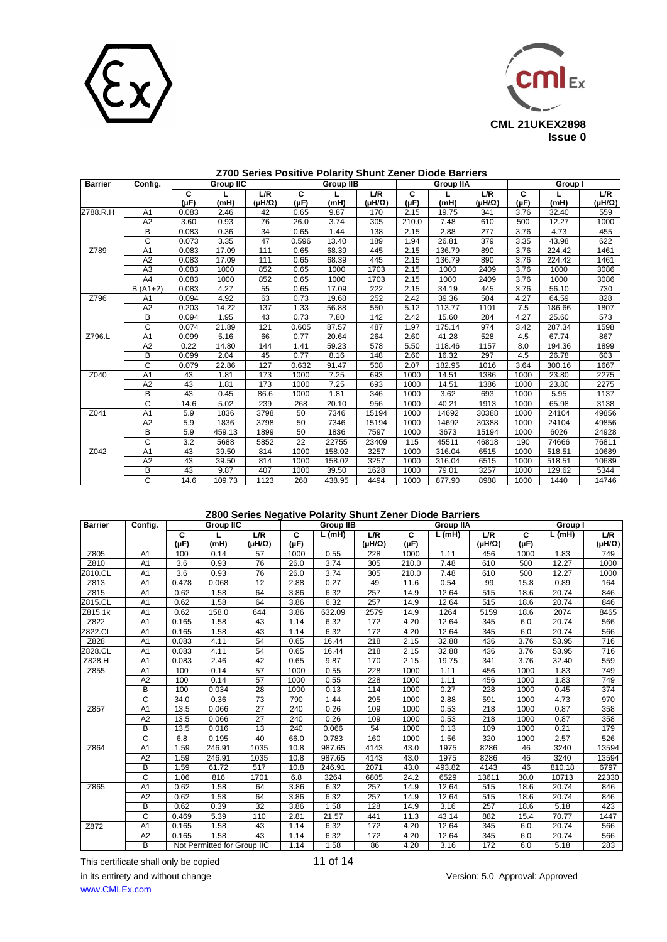



| <b>Barrier</b> | Config.         | <b>Group IIC</b> |        |                         | <b>Group IIB</b> |        |                         | <b>Group IIA</b> |        |                         | Group I        |        |               |
|----------------|-----------------|------------------|--------|-------------------------|------------------|--------|-------------------------|------------------|--------|-------------------------|----------------|--------|---------------|
|                |                 | С<br>$(\mu F)$   | (mH)   | L/R<br>$(\mu H/\Omega)$ | C<br>$(\mu F)$   | (mH)   | L/R<br>$(\mu H/\Omega)$ | C<br>$(\mu F)$   | (mH)   | L/R<br>$(\mu H/\Omega)$ | C<br>$(\mu F)$ | (mH)   | L/R<br>(μH/Ω) |
| Z788.R.H       | A <sub>1</sub>  | 0.083            | 2.46   | 42                      | 0.65             | 9.87   | 170                     | 2.15             | 19.75  | 341                     | 3.76           | 32.40  | 559           |
|                | A <sub>2</sub>  | 3.60             | 0.93   | 76                      | 26.0             | 3.74   | 305                     | 210.0            | 7.48   | 610                     | 500            | 12.27  | 1000          |
|                | B               | 0.083            | 0.36   | 34                      | 0.65             | 1.44   | 138                     | 2.15             | 2.88   | 277                     | 3.76           | 4.73   | 455           |
|                | C               | 0.073            | 3.35   | 47                      | 0.596            | 13.40  | 189                     | 1.94             | 26.81  | 379                     | 3.35           | 43.98  | 622           |
| Z789           | $\overline{A1}$ | 0.083            | 17.09  | 111                     | 0.65             | 68.39  | 445                     | 2.15             | 136.79 | 890                     | 3.76           | 224.42 | 1461          |
|                | A2              | 0.083            | 17.09  | 111                     | 0.65             | 68.39  | 445                     | 2.15             | 136.79 | 890                     | 3.76           | 224.42 | 1461          |
|                | A <sub>3</sub>  | 0.083            | 1000   | 852                     | 0.65             | 1000   | 1703                    | 2.15             | 1000   | 2409                    | 3.76           | 1000   | 3086          |
|                | A4              | 0.083            | 1000   | 852                     | 0.65             | 1000   | 1703                    | 2.15             | 1000   | 2409                    | 3.76           | 1000   | 3086          |
|                | $B(A1+2)$       | 0.083            | 4.27   | 55                      | 0.65             | 17.09  | 222                     | 2.15             | 34.19  | 445                     | 3.76           | 56.10  | 730           |
| Z796           | A1              | 0.094            | 4.92   | 63                      | 0.73             | 19.68  | 252                     | 2.42             | 39.36  | 504                     | 4.27           | 64.59  | 828           |
|                | A2              | 0.203            | 14.22  | 137                     | 1.33             | 56.88  | 550                     | 5.12             | 113.77 | 1101                    | 7.5            | 186.66 | 1807          |
|                | В               | 0.094            | 1.95   | 43                      | 0.73             | 7.80   | 142                     | 2.42             | 15.60  | 284                     | 4.27           | 25.60  | 573           |
|                | $\overline{c}$  | 0.074            | 21.89  | 121                     | 0.605            | 87.57  | 487                     | 1.97             | 175.14 | 974                     | 3.42           | 287.34 | 1598          |
| Z796.L         | A <sub>1</sub>  | 0.099            | 5.16   | 66                      | 0.77             | 20.64  | 264                     | 2.60             | 41.28  | 528                     | 4.5            | 67.74  | 867           |
|                | A2              | 0.22             | 14.80  | 144                     | 1.41             | 59.23  | 578                     | 5.50             | 118.46 | 1157                    | 8.0            | 194.36 | 1899          |
|                | B               | 0.099            | 2.04   | 45                      | 0.77             | 8.16   | 148                     | 2.60             | 16.32  | 297                     | 4.5            | 26.78  | 603           |
|                | C               | 0.079            | 22.86  | 127                     | 0.632            | 91.47  | 508                     | 2.07             | 182.95 | 1016                    | 3.64           | 300.16 | 1667          |
| Z040           | A <sub>1</sub>  | 43               | 1.81   | 173                     | 1000             | 7.25   | 693                     | 1000             | 14.51  | 1386                    | 1000           | 23.80  | 2275          |
|                | A2              | 43               | 1.81   | 173                     | 1000             | 7.25   | 693                     | 1000             | 14.51  | 1386                    | 1000           | 23.80  | 2275          |
|                | B               | 43               | 0.45   | 86.6                    | 1000             | 1.81   | 346                     | 1000             | 3.62   | 693                     | 1000           | 5.95   | 1137          |
|                | C               | 14.6             | 5.02   | 239                     | 268              | 20.10  | 956                     | 1000             | 40.21  | 1913                    | 1000           | 65.98  | 3138          |
| Z041           | A <sub>1</sub>  | 5.9              | 1836   | 3798                    | 50               | 7346   | 15194                   | 1000             | 14692  | 30388                   | 1000           | 24104  | 49856         |
|                | A <sub>2</sub>  | 5.9              | 1836   | 3798                    | 50               | 7346   | 15194                   | 1000             | 14692  | 30388                   | 1000           | 24104  | 49856         |
|                | В               | 5.9              | 459.13 | 1899                    | 50               | 1836   | 7597                    | 1000             | 3673   | 15194                   | 1000           | 6026   | 24928         |
|                | C               | 3.2              | 5688   | 5852                    | 22               | 22755  | 23409                   | 115              | 45511  | 46818                   | 190            | 74666  | 76811         |
| Z042           | A <sub>1</sub>  | 43               | 39.50  | 814                     | 1000             | 158.02 | 3257                    | 1000             | 316.04 | 6515                    | 1000           | 518.51 | 10689         |
|                | A <sub>2</sub>  | 43               | 39.50  | 814                     | 1000             | 158.02 | 3257                    | 1000             | 316.04 | 6515                    | 1000           | 518.51 | 10689         |
|                | B               | 43               | 9.87   | 407                     | 1000             | 39.50  | 1628                    | 1000             | 79.01  | 3257                    | 1000           | 129.62 | 5344          |
|                | C               | 14.6             | 109.73 | 1123                    | 268              | 438.95 | 4494                    | 1000             | 877.90 | 8988                    | 1000           | 1440   | 14746         |

### **Z800 Series Negative Polarity Shunt Zener Diode Barriers**

| <b>Barrier</b> | Config.        |                | <b>Group IIC</b>            |                         |                             | <b>Group IIB</b> |                         |                             | <b>Group IIA</b> |                         | Group I        |        |                      |
|----------------|----------------|----------------|-----------------------------|-------------------------|-----------------------------|------------------|-------------------------|-----------------------------|------------------|-------------------------|----------------|--------|----------------------|
|                |                | c<br>$(\mu F)$ | (mH)                        | L/R<br>$(\mu H/\Omega)$ | $\overline{c}$<br>$(\mu F)$ | L(mH)            | L/R<br>$(\mu H/\Omega)$ | $\overline{c}$<br>$(\mu F)$ | L(mH)            | L/R<br>$(\mu H/\Omega)$ | C<br>$(\mu F)$ | L(mH)  | L/R<br>$(HH/\Omega)$ |
| Z805           | A <sub>1</sub> | 100            | 0.14                        | 57                      | 1000                        | 0.55             | 228                     | 1000                        | 1.11             | 456                     | 1000           | 1.83   | 749                  |
| Z810           | A <sub>1</sub> | 3.6            | 0.93                        | 76                      | 26.0                        | 3.74             | 305                     | 210.0                       | 7.48             | 610                     | 500            | 12.27  | 1000                 |
| Z810.CL        | A <sub>1</sub> | 3.6            | 0.93                        | 76                      | 26.0                        | 3.74             | 305                     | 210.0                       | 7.48             | 610                     | 500            | 12.27  | 1000                 |
| Z813           | A <sub>1</sub> | 0.478          | 0.068                       | $\overline{12}$         | 2.88                        | 0.27             | 49                      | 11.6                        | 0.54             | 99                      | 15.8           | 0.89   | 164                  |
| Z815           | A <sub>1</sub> | 0.62           | 1.58                        | 64                      | 3.86                        | 6.32             | 257                     | 14.9                        | 12.64            | 515                     | 18.6           | 20.74  | 846                  |
| Z815.CL        | A <sub>1</sub> | 0.62           | 1.58                        | 64                      | 3.86                        | 6.32             | 257                     | 14.9                        | 12.64            | 515                     | 18.6           | 20.74  | 846                  |
| Z815.1k        | A <sub>1</sub> | 0.62           | 158.0                       | 644                     | 3.86                        | 632.09           | 2579                    | 14.9                        | 1264             | 5159                    | 18.6           | 2074   | 8465                 |
| Z822           | A <sub>1</sub> | 0.165          | 1.58                        | 43                      | 1.14                        | 6.32             | 172                     | 4.20                        | 12.64            | 345                     | 6.0            | 20.74  | 566                  |
| Z822.CL        | A <sub>1</sub> | 0.165          | 1.58                        | 43                      | 1.14                        | 6.32             | 172                     | 4.20                        | 12.64            | 345                     | 6.0            | 20.74  | 566                  |
| Z828           | A <sub>1</sub> | 0.083          | 4.11                        | 54                      | 0.65                        | 16.44            | 218                     | 2.15                        | 32.88            | 436                     | 3.76           | 53.95  | 716                  |
| Z828.CL        | A <sub>1</sub> | 0.083          | 4.11                        | 54                      | 0.65                        | 16.44            | 218                     | 2.15                        | 32.88            | 436                     | 3.76           | 53.95  | 716                  |
| Z828.H         | A <sub>1</sub> | 0.083          | 2.46                        | 42                      | 0.65                        | 9.87             | 170                     | 2.15                        | 19.75            | 341                     | 3.76           | 32.40  | 559                  |
| Z855           | A <sub>1</sub> | 100            | 0.14                        | 57                      | 1000                        | 0.55             | 228                     | 1000                        | 1.11             | 456                     | 1000           | 1.83   | 749                  |
|                | A2             | 100            | 0.14                        | 57                      | 1000                        | 0.55             | 228                     | 1000                        | 1.11             | 456                     | 1000           | 1.83   | 749                  |
|                | B              | 100            | 0.034                       | 28                      | 1000                        | 0.13             | 114                     | 1000                        | 0.27             | 228                     | 1000           | 0.45   | 374                  |
|                | C              | 34.0           | 0.36                        | 73                      | 790                         | 1.44             | 295                     | 1000                        | 2.88             | 591                     | 1000           | 4.73   | 970                  |
| Z857           | A <sub>1</sub> | 13.5           | 0.066                       | 27                      | 240                         | 0.26             | 109                     | 1000                        | 0.53             | 218                     | 1000           | 0.87   | 358                  |
|                | A2             | 13.5           | 0.066                       | $\overline{27}$         | 240                         | 0.26             | 109                     | 1000                        | 0.53             | 218                     | 1000           | 0.87   | 358                  |
|                | B              | 13.5           | 0.016                       | 13                      | 240                         | 0.066            | 54                      | 1000                        | 0.13             | 109                     | 1000           | 0.21   | 179                  |
|                | $\overline{c}$ | 6.8            | 0.195                       | 40                      | 66.0                        | 0.783            | 160                     | 1000                        | 1.56             | 320                     | 1000           | 2.57   | 526                  |
| Z864           | A <sub>1</sub> | 1.59           | 246.91                      | 1035                    | 10.8                        | 987.65           | 4143                    | 43.0                        | 1975             | 8286                    | 46             | 3240   | 13594                |
|                | A <sub>2</sub> | 1.59           | 246.91                      | 1035                    | 10.8                        | 987.65           | 4143                    | 43.0                        | 1975             | 8286                    | 46             | 3240   | 13594                |
|                | в              | 1.59           | 61.72                       | 517                     | 10.8                        | 246.91           | 2071                    | 43.0                        | 493.82           | 4143                    | 46             | 810.18 | 6797                 |
|                | $\overline{c}$ | 1.06           | 816                         | 1701                    | 6.8                         | 3264             | 6805                    | 24.2                        | 6529             | 13611                   | 30.0           | 10713  | 22330                |
| Z865           | A <sub>1</sub> | 0.62           | 1.58                        | 64                      | 3.86                        | 6.32             | 257                     | 14.9                        | 12.64            | 515                     | 18.6           | 20.74  | 846                  |
|                | A <sub>2</sub> | 0.62           | 1.58                        | 64                      | 3.86                        | 6.32             | 257                     | 14.9                        | 12.64            | 515                     | 18.6           | 20.74  | 846                  |
|                | B              | 0.62           | 0.39                        | 32                      | 3.86                        | 1.58             | 128                     | 14.9                        | 3.16             | 257                     | 18.6           | 5.18   | 423                  |
|                | C              | 0.469          | 5.39                        | 110                     | 2.81                        | 21.57            | 441                     | 11.3                        | 43.14            | 882                     | 15.4           | 70.77  | 1447                 |
| Z872           | A <sub>1</sub> | 0.165          | 1.58                        | 43                      | 1.14                        | 6.32             | 172                     | 4.20                        | 12.64            | 345                     | 6.0            | 20.74  | 566                  |
|                | A <sub>2</sub> | 0.165          | 1.58                        | 43                      | 1.14                        | 6.32             | 172                     | 4.20                        | 12.64            | 345                     | 6.0            | 20.74  | 566                  |
|                | B              |                | Not Permitted for Group IIC |                         | 1.14                        | 1.58             | 86                      | 4.20                        | 3.16             | 172                     | 6.0            | 5.18   | 283                  |

This certificate shall only be copied 11 of 14 in its entirety and without change Version: 5.0 Approval: Approved [www.CMLEx.com](http://www.cmlex.com/)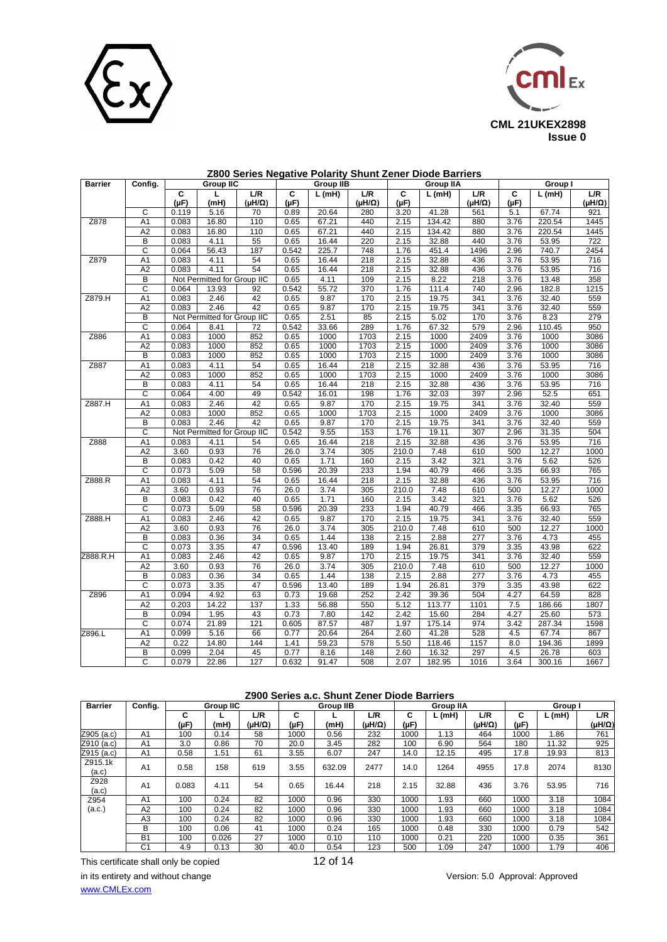



| Z800 Series Negative Polarity Shunt Zener Diode Barriers |  |
|----------------------------------------------------------|--|
|----------------------------------------------------------|--|

| <b>Barrier</b> | Config.               | <b>Group IIC</b> |                             |               | <b>Group IIB</b> |       |                         | <b>Group IIA</b> |        |                         | Group I        |        |                         |
|----------------|-----------------------|------------------|-----------------------------|---------------|------------------|-------|-------------------------|------------------|--------|-------------------------|----------------|--------|-------------------------|
|                |                       | С<br>$(\mu F)$   | L<br>(mH)                   | L/R<br>(μH/Ω) | C<br>$(\mu F)$   | L(mH) | L/R<br>$(\mu H/\Omega)$ | C<br>$(\mu F)$   | L(mH)  | L/R<br>$(\mu H/\Omega)$ | C<br>$(\mu F)$ | L(mH)  | L/R<br>$(\mu H/\Omega)$ |
|                | C                     | 0.119            | 5.16                        | 70            | 0.89             | 20.64 | 280                     | 3.20             | 41.28  | 561                     | 5.1            | 67.74  | 921                     |
| Z878           | A <sub>1</sub>        | 0.083            | 16.80                       | 110           | 0.65             | 67.21 | 440                     | 2.15             | 134.42 | 880                     | 3.76           | 220.54 | 1445                    |
|                | A <sub>2</sub>        | 0.083            | 16.80                       | 110           | 0.65             | 67.21 | 440                     | 2.15             | 134.42 | 880                     | 3.76           | 220.54 | 1445                    |
|                | B                     | 0.083            | 4.11                        | 55            | 0.65             | 16.44 | 220                     | 2.15             | 32.88  | 440                     | 3.76           | 53.95  | $\overline{722}$        |
|                | $\overline{\text{c}}$ | 0.064            | 56.43                       | 187           | 0.542            | 225.7 | 748                     | 1.76             | 451.4  | 1496                    | 2.96           | 740.7  | 2454                    |
| Z879           | A <sub>1</sub>        | 0.083            | 4.11                        | 54            | 0.65             | 16.44 | 218                     | 2.15             | 32.88  | 436                     | 3.76           | 53.95  | 716                     |
|                | A <sub>2</sub>        | 0.083            | 4.11                        | 54            | 0.65             | 16.44 | 218                     | 2.15             | 32.88  | 436                     | 3.76           | 53.95  | 716                     |
|                | B                     |                  | Not Permitted for Group IIC |               | 0.65             | 4.11  | 109                     | 2.15             | 8.22   | 218                     | 3.76           | 13.48  | 358                     |
|                | $\overline{\text{c}}$ | 0.064            | 13.93                       | 92            | 0.542            | 55.72 | 370                     | 1.76             | 111.4  | 740                     | 2.96           | 182.8  | 1215                    |
| Z879.H         | A <sub>1</sub>        | 0.083            | 2.46                        | 42            | 0.65             | 9.87  | 170                     | 2.15             | 19.75  | 341                     | 3.76           | 32.40  | 559                     |
|                | A2                    | 0.083            | 2.46                        | 42            | 0.65             | 9.87  | 170                     | 2.15             | 19.75  | 341                     | 3.76           | 32.40  | 559                     |
|                | B                     |                  | Not Permitted for Group IIC |               | 0.65             | 2.51  | 85                      | 2.15             | 5.02   | 170                     | 3.76           | 8.23   | 279                     |
|                | $\overline{C}$        | 0.064            | 8.41                        | 72            | 0.542            | 33.66 | 289                     | 1.76             | 67.32  | 579                     | 2.96           | 110.45 | 950                     |
| Z886           | A1                    | 0.083            | 1000                        | 852           | 0.65             | 1000  | 1703                    | 2.15             | 1000   | 2409                    | 3.76           | 1000   | 3086                    |
|                | A2                    | 0.083            | 1000                        | 852           | 0.65             | 1000  | 1703                    | 2.15             | 1000   | 2409                    | 3.76           | 1000   | 3086                    |
|                | B                     | 0.083            | 1000                        | 852           | 0.65             | 1000  | 1703                    | 2.15             | 1000   | 2409                    | 3.76           | 1000   | 3086                    |
| Z887           | A1                    | 0.083            | 4.11                        | 54            | 0.65             | 16.44 | 218                     | 2.15             | 32.88  | 436                     | 3.76           | 53.95  | 716                     |
|                | A <sub>2</sub>        | 0.083            | 1000                        | 852           | 0.65             | 1000  | 1703                    | 2.15             | 1000   | 2409                    | 3.76           | 1000   | 3086                    |
|                | B                     | 0.083            | 4.11                        | 54            | 0.65             | 16.44 | 218                     | 2.15             | 32.88  | 436                     | 3.76           | 53.95  | 716                     |
|                | C                     | 0.064            | 4.00                        | 49            | 0.542            | 16.01 | 198                     | 1.76             | 32.03  | 397                     | 2.96           | 52.5   | 651                     |
| Z887.H         | A1                    | 0.083            | 2.46                        | 42            | 0.65             | 9.87  | 170                     | 2.15             | 19.75  | 341                     | 3.76           | 32.40  | 559                     |
|                | A <sub>2</sub>        | 0.083            | 1000                        | 852           | 0.65             | 1000  | 1703                    | 2.15             | 1000   | 2409                    | 3.76           | 1000   | 3086                    |
|                | B                     | 0.083            | 2.46                        | 42            | 0.65             | 9.87  | 170                     | 2.15             | 19.75  | 341                     | 3.76           | 32.40  | 559                     |
|                | C                     |                  | Not Permitted for Group IIC |               | 0.542            | 9.55  | 153                     | 1.76             | 19.11  | 307                     | 2.96           | 31.35  | 504                     |
| Z888           | A <sub>1</sub>        | 0.083            | 4.11                        | 54            | 0.65             | 16.44 | 218                     | 2.15             | 32.88  | 436                     | 3.76           | 53.95  | 716                     |
|                | A <sub>2</sub>        | 3.60             | 0.93                        | 76            | 26.0             | 3.74  | 305                     | 210.0            | 7.48   | 610                     | 500            | 12.27  | 1000                    |
|                | B                     | 0.083            | 0.42                        | 40            | 0.65             | 1.71  | 160                     | 2.15             | 3.42   | 321                     | 3.76           | 5.62   | 526                     |
|                | $\overline{c}$        | 0.073            | 5.09                        | 58            | 0.596            | 20.39 | 233                     | 1.94             | 40.79  | 466                     | 3.35           | 66.93  | 765                     |
| Z888.R         | A1                    | 0.083            | 4.11                        | 54            | 0.65             | 16.44 | 218                     | 2.15             | 32.88  | 436                     | 3.76           | 53.95  | 716                     |
|                | A2                    | 3.60             | 0.93                        | 76            | 26.0             | 3.74  | 305                     | 210.0            | 7.48   | 610                     | 500            | 12.27  | 1000                    |
|                | B                     | 0.083            | 0.42                        | 40            | 0.65             | 1.71  | 160                     | 2.15             | 3.42   | 321                     | 3.76           | 5.62   | 526                     |
|                | $\overline{C}$        | 0.073            | 5.09                        | 58            | 0.596            | 20.39 | 233                     | 1.94             | 40.79  | 466                     | 3.35           | 66.93  | 765                     |
| Z888.H         | A <sub>1</sub>        | 0.083            | 2.46                        | 42            | 0.65             | 9.87  | 170                     | 2.15             | 19.75  | 341                     | 3.76           | 32.40  | 559                     |
|                | A2                    | 3.60             | 0.93                        | 76            | 26.0             | 3.74  | 305                     | 210.0            | 7.48   | 610                     | 500            | 12.27  | 1000                    |
|                | B                     | 0.083            | 0.36                        | 34            | 0.65             | 1.44  | 138                     | 2.15             | 2.88   | 277                     | 3.76           | 4.73   | 455                     |
|                | $\overline{C}$        | 0.073            | 3.35                        | 47            | 0.596            | 13.40 | 189                     | 1.94             | 26.81  | 379                     | 3.35           | 43.98  | 622                     |
| Z888.R.H       | A1                    | 0.083            | 2.46                        | 42            | 0.65             | 9.87  | 170                     | 2.15             | 19.75  | 341                     | 3.76           | 32.40  | 559                     |
|                | A2                    | 3.60             | 0.93                        | 76            | 26.0             | 3.74  | 305                     | 210.0            | 7.48   | 610                     | 500            | 12.27  | 1000                    |
|                | B                     | 0.083            | 0.36                        | 34            | 0.65             | 1.44  | 138                     | 2.15             | 2.88   | 277                     | 3.76           | 4.73   | 455                     |
|                | $\overline{\text{c}}$ | 0.073            | 3.35                        | 47            | 0.596            | 13.40 | 189                     | 1.94             | 26.81  | 379                     | 3.35           | 43.98  | 622                     |
| Z896           | A1                    | 0.094            | 4.92                        | 63            | 0.73             | 19.68 | 252                     | 2.42             | 39.36  | 504                     | 4.27           | 64.59  | 828                     |
|                | A <sub>2</sub>        | 0.203            | 14.22                       | 137           | 1.33             | 56.88 | 550                     | 5.12             | 113.77 | 1101                    | 7.5            | 186.66 | 1807                    |
|                | B                     | 0.094            | 1.95                        | 43            | 0.73             | 7.80  | 142                     | 2.42             | 15.60  | 284                     | 4.27           | 25.60  | 573                     |
|                | C                     | 0.074            | 21.89                       | 121           | 0.605            | 87.57 | 487                     | 1.97             | 175.14 | 974                     | 3.42           | 287.34 | 1598                    |
| Z896.L         | A <sub>1</sub>        | 0.099            | 5.16                        | 66            | 0.77             | 20.64 | 264                     | 2.60             | 41.28  | 528                     | 4.5            | 67.74  | 867                     |
|                | A <sub>2</sub>        | 0.22             | 14.80                       | 144           | 1.41             | 59.23 | 578                     | 5.50             | 118.46 | 1157                    | 8.0            | 194.36 | 1899                    |
|                | B                     | 0.099            | 2.04                        | 45            | 0.77             | 8.16  | 148                     | 2.60             | 16.32  | 297                     | 4.5            | 26.78  | 603                     |
|                | $\overline{C}$        | 0.079            |                             | 127           | 0.632            | 91.47 | 508                     | 2.07             |        | 1016                    | 3.64           |        |                         |
|                |                       |                  | 22.86                       |               |                  |       |                         |                  | 182.95 |                         |                | 300.16 | 1667                    |

| Z900 Series a.c. Shunt Zener Diode Barriers |  |
|---------------------------------------------|--|
|---------------------------------------------|--|

| <b>Barrier</b>   | Confia.        | <b>Group IIC</b> |       |                      | <b>Group IIB</b> |        |               | <b>Group IIA</b> |       |                      | Group I   |       |               |
|------------------|----------------|------------------|-------|----------------------|------------------|--------|---------------|------------------|-------|----------------------|-----------|-------|---------------|
|                  |                | C<br>(µF)        | (mH)  | L/R<br>$(uH/\Omega)$ | C<br>(µF)        | (mH)   | L/R<br>(uH/Ω) | C<br>(µF)        | L(mH) | L/R<br>$(uH/\Omega)$ | C<br>(µF) | L(mH) | L/R<br>(μH/Ω) |
| Z905 (a.c)       | A <sub>1</sub> | 100              | 0.14  | 58                   | 1000             | 0.56   | 232           | 1000             | 1.13  | 464                  | 1000      | 1.86  | 761           |
| Z910 (a.c)       | A <sub>1</sub> | 3.0              | 0.86  | 70                   | 20.0             | 3.45   | 282           | 100              | 6.90  | 564                  | 180       | 11.32 | 925           |
| Z915 (a.c)       | A <sub>1</sub> | 0.58             | 1.51  | 61                   | 3.55             | 6.07   | 247           | 14.0             | 12.15 | 495                  | 17.8      | 19.93 | 813           |
| Z915.1k<br>(a.c) | A1             | 0.58             | 158   | 619                  | 3.55             | 632.09 | 2477          | 14.0             | 1264  | 4955                 | 17.8      | 2074  | 8130          |
| Z928<br>(a.c)    | A <sub>1</sub> | 0.083            | 4.11  | 54                   | 0.65             | 16.44  | 218           | 2.15             | 32.88 | 436                  | 3.76      | 53.95 | 716           |
| Z954             | A <sub>1</sub> | 100              | 0.24  | 82                   | 1000             | 0.96   | 330           | 1000             | 1.93  | 660                  | 1000      | 3.18  | 1084          |
| (a.c.)           | A2             | 100              | 0.24  | 82                   | 1000             | 0.96   | 330           | 1000             | 1.93  | 660                  | 1000      | 3.18  | 1084          |
|                  | A <sub>3</sub> | 100              | 0.24  | 82                   | 1000             | 0.96   | 330           | 1000             | 1.93  | 660                  | 1000      | 3.18  | 1084          |
|                  | B              | 100              | 0.06  | 41                   | 1000             | 0.24   | 165           | 1000             | 0.48  | 330                  | 1000      | 0.79  | 542           |
|                  | <b>B1</b>      | 100              | 0.026 | 27                   | 1000             | 0.10   | 110           | 1000             | 0.21  | 220                  | 1000      | 0.35  | 361           |
|                  | C <sub>1</sub> | 4.9              | 0.13  | 30                   | 40.0             | 0.54   | 123           | 500              | 1.09  | 247                  | 1000      | 1.79  | 406           |

This certificate shall only be copied 12 of 14 in its entirety and without change version: 5.0 Approval: Approved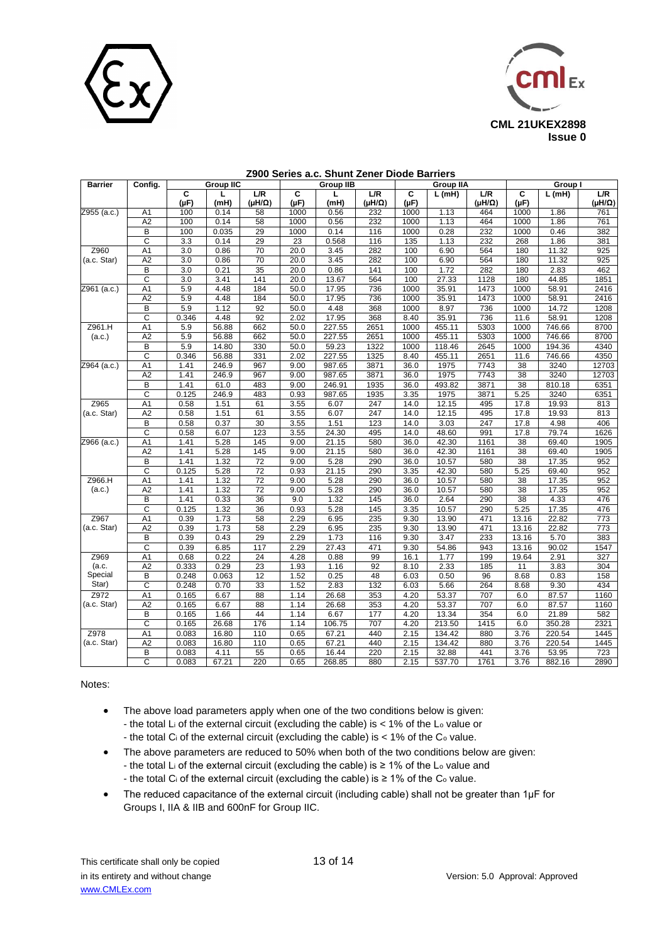



| Barrier       | Config.               | <b>Group IIC</b> |       |                  | <b>Group IIB</b> |        |        | <b>Group IIA</b> |          |                  | Group I         |        |                  |
|---------------|-----------------------|------------------|-------|------------------|------------------|--------|--------|------------------|----------|------------------|-----------------|--------|------------------|
|               |                       | C                | L     | L/R              | C                | г      | L/R    | C                | $L$ (mH) | L/R              | C               | L(mH)  | L/R              |
|               |                       | $(\mu F)$        | (mH)  | $(\mu H/\Omega)$ | $(\mu F)$        | (mH)   | (μH/Ω) | $(\mu F)$        |          | $(\mu H/\Omega)$ | $(\mu F)$       |        | $(\mu H/\Omega)$ |
| 2955 (a.c.)   | A1                    | 100              | 0.14  | 58               | 1000             | 0.56   | 232    | 1000             | 1.13     | 464              | 1000            | 1.86   | 761              |
|               | A2                    | 100              | 0.14  | 58               | 1000             | 0.56   | 232    | 1000             | 1.13     | 464              | 1000            | 1.86   | 761              |
|               | $\overline{B}$        | 100              | 0.035 | 29               | 1000             | 0.14   | 116    | 1000             | 0.28     | 232              | 1000            | 0.46   | 382              |
|               | $\overline{c}$        | 3.3              | 0.14  | 29               | 23               | 0.568  | 116    | 135              | 1.13     | 232              | 268             | 1.86   | 381              |
| Z960          | A <sub>1</sub>        | 3.0              | 0.86  | 70               | 20.0             | 3.45   | 282    | 100              | 6.90     | 564              | 180             | 11.32  | 925              |
| (a.c. Star)   | A2                    | 3.0              | 0.86  | 70               | 20.0             | 3.45   | 282    | 100              | 6.90     | 564              | 180             | 11.32  | 925              |
|               | B                     | 3.0              | 0.21  | 35               | 20.0             | 0.86   | 141    | 100              | 1.72     | 282              | 180             | 2.83   | 462              |
|               | С                     | 3.0              | 3.41  | 141              | 20.0             | 13.67  | 564    | 100              | 27.33    | 1128             | 180             | 44.85  | 1851             |
| Z961 (a.c.)   | A1                    | 5.9              | 4.48  | 184              | 50.0             | 17.95  | 736    | 1000             | 35.91    | 1473             | 1000            | 58.91  | 2416             |
|               | A2                    | 5.9              | 4.48  | 184              | 50.0             | 17.95  | 736    | 1000             | 35.91    | 1473             | 1000            | 58.91  | 2416             |
|               | B                     | 5.9              | 1.12  | 92               | 50.0             | 4.48   | 368    | 1000             | 8.97     | 736              | 1000            | 14.72  | 1208             |
|               | C                     | 0.346            | 4.48  | 92               | 2.02             | 17.95  | 368    | 8.40             | 35.91    | 736              | 11.6            | 58.91  | 1208             |
| Z961.H        | A <sub>1</sub>        | 5.9              | 56.88 | 662              | 50.0             | 227.55 | 2651   | 1000             | 455.11   | 5303             | 1000            | 746.66 | 8700             |
| (a.c.)        | A <sub>2</sub>        | 5.9              | 56.88 | 662              | 50.0             | 227.55 | 2651   | 1000             | 455.11   | 5303             | 1000            | 746.66 | 8700             |
|               | B                     | 5.9              | 14.80 | 330              | 50.0             | 59.23  | 1322   | 1000             | 118.46   | 2645             | 1000            | 194.36 | 4340             |
|               | C                     | 0.346            | 56.88 | 331              | 2.02             | 227.55 | 1325   | 8.40             | 455.11   | 2651             | 11.6            | 746.66 | 4350             |
| $2964$ (a.c.) | A <sub>1</sub>        | 1.41             | 246.9 | 967              | 9.00             | 987.65 | 3871   | 36.0             | 1975     | 7743             | 38              | 3240   | 12703            |
|               | A2                    | 1.41             | 246.9 | 967              | 9.00             | 987.65 | 3871   | 36.0             | 1975     | 7743             | 38              | 3240   | 12703            |
|               | B                     | 1.41             | 61.0  | 483              | 9.00             | 246.91 | 1935   | 36.0             | 493.82   | 3871             | 38              | 810.18 | 6351             |
|               | $\overline{\text{c}}$ | 0.125            | 246.9 | 483              | 0.93             | 987.65 | 1935   | 3.35             | 1975     | 3871             | 5.25            | 3240   | 6351             |
| Z965          | A1                    | 0.58             | 1.51  | 61               | 3.55             | 6.07   | 247    | 14.0             | 12.15    | 495              | 17.8            | 19.93  | 813              |
| (a.c. Star)   | A2                    | 0.58             | 1.51  | 61               | 3.55             | 6.07   | 247    | 14.0             | 12.15    | 495              | 17.8            | 19.93  | 813              |
|               | B                     | 0.58             | 0.37  | 30               | 3.55             | 1.51   | 123    | 14.0             | 3.03     | 247              | 17.8            | 4.98   | 406              |
|               | $\overline{c}$        | 0.58             | 6.07  | 123              | 3.55             | 24.30  | 495    | 14.0             | 48.60    | 991              | 17.8            | 79.74  | 1626             |
| Z966 (a.c.)   | A <sub>1</sub>        | 1.41             | 5.28  | 145              | 9.00             | 21.15  | 580    | 36.0             | 42.30    | 1161             | 38              | 69.40  | 1905             |
|               | A2                    | 1.41             | 5.28  | 145              | 9.00             | 21.15  | 580    | 36.0             | 42.30    | 1161             | 38              | 69.40  | 1905             |
|               | B                     | 1.41             | 1.32  | 72               | 9.00             | 5.28   | 290    | 36.0             | 10.57    | 580              | 38              | 17.35  | 952              |
|               | C                     | 0.125            | 5.28  | $\overline{72}$  | 0.93             | 21.15  | 290    | 3.35             | 42.30    | 580              | 5.25            | 69.40  | 952              |
| Z966.H        | A1                    | 1.41             | 1.32  | 72               | 9.00             | 5.28   | 290    | 36.0             | 10.57    | 580              | 38              | 17.35  | 952              |
| (a.c.)        | A2                    | 1.41             | 1.32  | 72               | 9.00             | 5.28   | 290    | 36.0             | 10.57    | 580              | 38              | 17.35  | 952              |
|               | B                     | 1.41             | 0.33  | 36               | 9.0              | 1.32   | 145    | 36.0             | 2.64     | 290              | $\overline{38}$ | 4.33   | 476              |
|               | $\overline{c}$        | 0.125            | 1.32  | 36               | 0.93             | 5.28   | 145    | 3.35             | 10.57    | 290              | 5.25            | 17.35  | 476              |
| Z967          | A <sub>1</sub>        | 0.39             | 1.73  | 58               | 2.29             | 6.95   | 235    | 9.30             | 13.90    | 471              | 13.16           | 22.82  | 773              |
| (a.c. Star)   | A2                    | 0.39             | 1.73  | 58               | 2.29             | 6.95   | 235    | 9.30             | 13.90    | 471              | 13.16           | 22.82  | $\overline{773}$ |
|               | B                     | 0.39             | 0.43  | 29               | 2.29             | 1.73   | 116    | 9.30             | 3.47     | 233              | 13.16           | 5.70   | 383              |
|               | C                     | 0.39             | 6.85  | 117              | 2.29             | 27.43  | 471    | 9.30             | 54.86    | 943              | 13.16           | 90.02  | 1547             |
| Z969          | A1                    | 0.68             | 0.22  | 24               | 4.28             | 0.88   | 99     | 16.1             | 1.77     | 199              | 19.64           | 2.91   | 327              |
| (a.c.         | A2                    | 0.333            | 0.29  | 23               | 1.93             | 1.16   | 92     | 8.10             | 2.33     | 185              | 11              | 3.83   | 304              |
| Special       | B                     | 0.248            | 0.063 | 12               | 1.52             | 0.25   | 48     | 6.03             | 0.50     | 96               | 8.68            | 0.83   | 158              |
| Star)         | C                     | 0.248            | 0.70  | 33               | 1.52             | 2.83   | 132    | 6.03             | 5.66     | 264              | 8.68            | 9.30   | 434              |
| Z972          | A <sub>1</sub>        | 0.165            | 6.67  | 88               | 1.14             | 26.68  | 353    | 4.20             | 53.37    | 707              | 6.0             | 87.57  | 1160             |
| (a.c. Star)   | A2                    | 0.165            | 6.67  | 88               | 1.14             | 26.68  | 353    | 4.20             | 53.37    | 707              | 6.0             | 87.57  | 1160             |
|               | B                     | 0.165            | 1.66  | 44               | 1.14             | 6.67   | 177    | 4.20             | 13.34    | 354              | 6.0             | 21.89  | 582              |
|               | C                     | 0.165            | 26.68 | 176              | 1.14             | 106.75 | 707    | 4.20             | 213.50   | 1415             | 6.0             | 350.28 | 2321             |
| Z978          | A <sub>1</sub>        | 0.083            | 16.80 | 110              | 0.65             | 67.21  | 440    | 2.15             | 134.42   | 880              | 3.76            | 220.54 | 1445             |
| (a.c. Star)   | A2                    | 0.083            | 16.80 | 110              | 0.65             | 67.21  | 440    | 2.15             | 134.42   | 880              | 3.76            | 220.54 | 1445             |
|               | B                     | 0.083            | 4.11  | 55               | 0.65             | 16.44  | 220    | 2.15             | 32.88    | 441              | 3.76            | 53.95  | 723              |
|               | $\overline{c}$        | 0.083            | 67.21 | 220              | 0.65             | 268.85 | 880    | 2.15             | 537.70   | 1761             | 3.76            | 882.16 | 2890             |
|               |                       |                  |       |                  |                  |        |        |                  |          |                  |                 |        |                  |

#### **Z900 Series a.c. Shunt Zener Diode Barriers**

Notes:

- The above load parameters apply when one of the two conditions below is given: - the total L<sup>i</sup> of the external circuit (excluding the cable) is < 1% of the L<sup>o</sup> value or
	- the total  $C_i$  of the external circuit (excluding the cable) is  $< 1\%$  of the  $C_0$  value.
- The above parameters are reduced to 50% when both of the two conditions below are given:
	- the total L<sup>i</sup> of the external circuit (excluding the cable) is ≥ 1% of the L<sup>o</sup> value and
	- the total C<sub>i</sub> of the external circuit (excluding the cable) is  $\geq 1\%$  of the C<sub>o</sub> value.
- The reduced capacitance of the external circuit (including cable) shall not be greater than 1µF for Groups I, IIA & IIB and 600nF for Group IIC.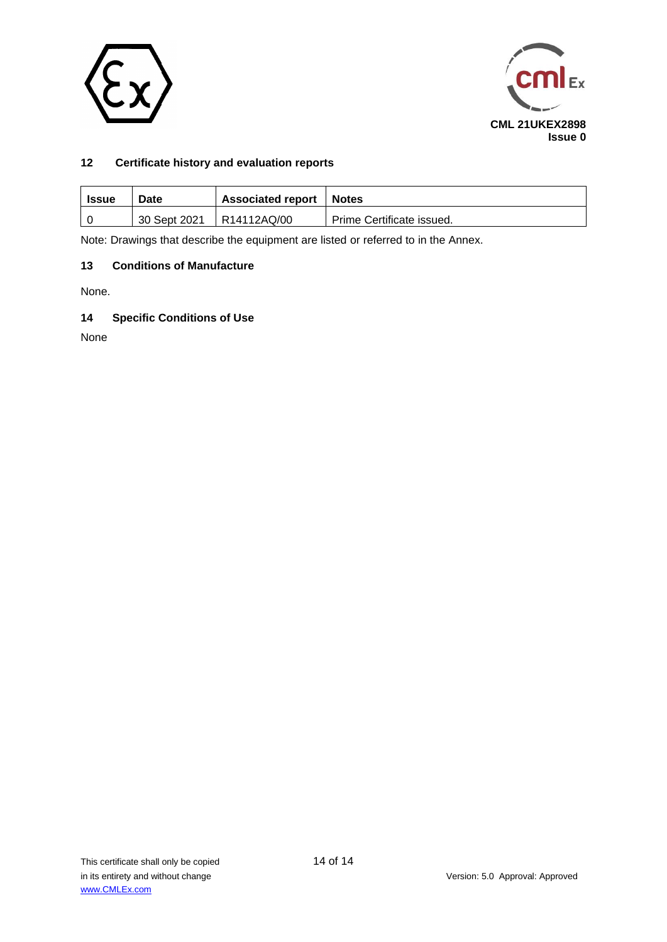



# **12 Certificate history and evaluation reports**

| Issue | Date         | <b>Associated report</b> | Notes                     |  |  |  |  |
|-------|--------------|--------------------------|---------------------------|--|--|--|--|
|       | 30 Sept 2021 | R14112AQ/00              | Prime Certificate issued. |  |  |  |  |

Note: Drawings that describe the equipment are listed or referred to in the Annex.

# **13 Conditions of Manufacture**

None.

# **14 Specific Conditions of Use**

None